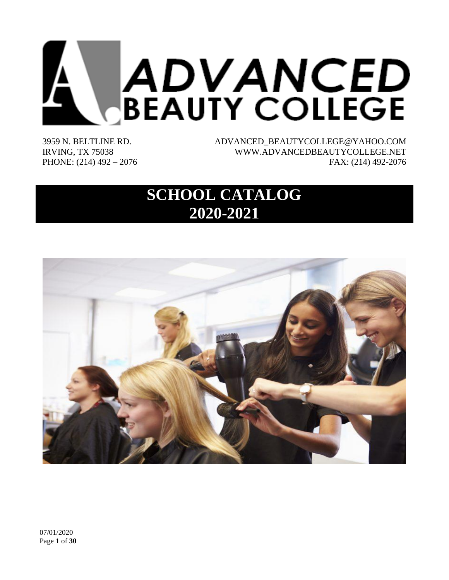

3959 N. BELTLINE RD. IRVING, TX 75038 PHONE: (214) 492 – 2076 ADVANCED\_BEAUTYCOLLEGE@YAHOO.COM WWW.ADVANCEDBEAUTYCOLLEGE.NET FAX: (214) 492-2076

# **SCHOOL CATALOG 2020-2021**

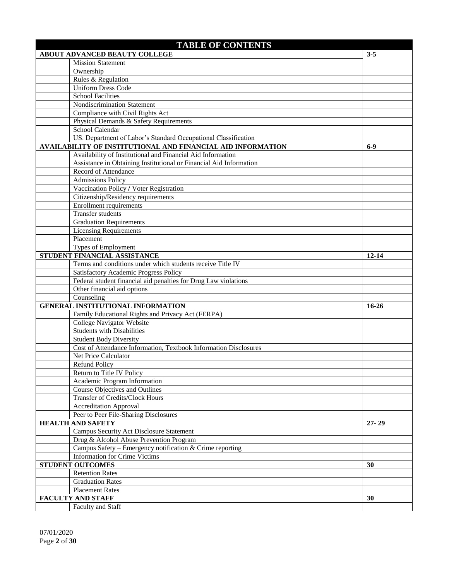| <b>TABLE OF CONTENTS</b>                                              |           |  |  |  |
|-----------------------------------------------------------------------|-----------|--|--|--|
| <b>ABOUT ADVANCED BEAUTY COLLEGE</b>                                  | $3 - 5$   |  |  |  |
| <b>Mission Statement</b>                                              |           |  |  |  |
| Ownership                                                             |           |  |  |  |
| Rules & Regulation                                                    |           |  |  |  |
| <b>Uniform Dress Code</b>                                             |           |  |  |  |
| <b>School Facilities</b>                                              |           |  |  |  |
| Nondiscrimination Statement                                           |           |  |  |  |
| Compliance with Civil Rights Act                                      |           |  |  |  |
| Physical Demands & Safety Requirements                                |           |  |  |  |
| School Calendar                                                       |           |  |  |  |
| US. Department of Labor's Standard Occupational Classification        |           |  |  |  |
| AVAILABILITY OF INSTITUTIONAL AND FINANCIAL AID INFORMATION           | $6-9$     |  |  |  |
| Availability of Institutional and Financial Aid Information           |           |  |  |  |
| Assistance in Obtaining Institutional or Financial Aid Information    |           |  |  |  |
| Record of Attendance                                                  |           |  |  |  |
| <b>Admissions Policy</b>                                              |           |  |  |  |
| Vaccination Policy / Voter Registration                               |           |  |  |  |
| Citizenship/Residency requirements                                    |           |  |  |  |
| <b>Enrollment requirements</b>                                        |           |  |  |  |
| <b>Transfer students</b>                                              |           |  |  |  |
| <b>Graduation Requirements</b>                                        |           |  |  |  |
| <b>Licensing Requirements</b>                                         |           |  |  |  |
| Placement                                                             |           |  |  |  |
| Types of Employment                                                   |           |  |  |  |
| STUDENT FINANCIAL ASSISTANCE                                          | $12 - 14$ |  |  |  |
| Terms and conditions under which students receive Title IV            |           |  |  |  |
| Satisfactory Academic Progress Policy                                 |           |  |  |  |
| Federal student financial aid penalties for Drug Law violations       |           |  |  |  |
| Other financial aid options                                           |           |  |  |  |
| Counseling                                                            |           |  |  |  |
| <b>GENERAL INSTITUTIONAL INFORMATION</b>                              | $16 - 26$ |  |  |  |
| Family Educational Rights and Privacy Act (FERPA)                     |           |  |  |  |
| <b>College Navigator Website</b>                                      |           |  |  |  |
| <b>Students with Disabilities</b>                                     |           |  |  |  |
| <b>Student Body Diversity</b>                                         |           |  |  |  |
| Cost of Attendance Information, Textbook Information Disclosures      |           |  |  |  |
| Net Price Calculator                                                  |           |  |  |  |
| <b>Refund Policy</b>                                                  |           |  |  |  |
| Return to Title IV Policy                                             |           |  |  |  |
| Academic Program Information<br><b>Course Objectives and Outlines</b> |           |  |  |  |
| Transfer of Credits/Clock Hours                                       |           |  |  |  |
| <b>Accreditation Approval</b>                                         |           |  |  |  |
| Peer to Peer File-Sharing Disclosures                                 |           |  |  |  |
| <b>HEALTH AND SAFETY</b>                                              | $27 - 29$ |  |  |  |
| Campus Security Act Disclosure Statement                              |           |  |  |  |
| Drug & Alcohol Abuse Prevention Program                               |           |  |  |  |
| Campus Safety - Emergency notification & Crime reporting              |           |  |  |  |
| <b>Information for Crime Victims</b>                                  |           |  |  |  |
| <b>STUDENT OUTCOMES</b>                                               | 30        |  |  |  |
| <b>Retention Rates</b>                                                |           |  |  |  |
| <b>Graduation Rates</b>                                               |           |  |  |  |
| <b>Placement Rates</b>                                                |           |  |  |  |
| <b>FACULTY AND STAFF</b>                                              | 30        |  |  |  |
| Faculty and Staff                                                     |           |  |  |  |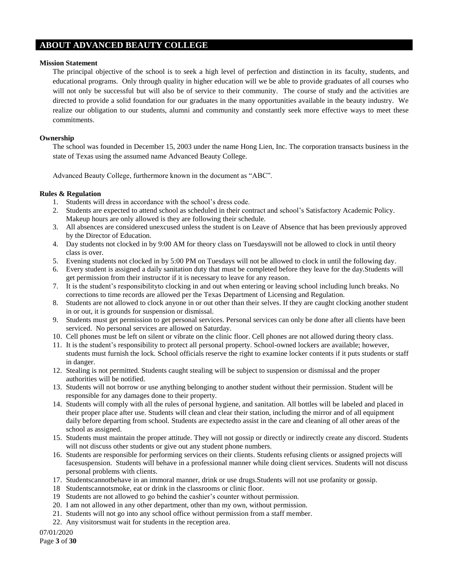# **ABOUT ADVANCED BEAUTY COLLEGE**

### **Mission Statement**

The principal objective of the school is to seek a high level of perfection and distinction in its faculty, students, and educational programs. Only through quality in higher education will we be able to provide graduates of all courses who will not only be successful but will also be of service to their community. The course of study and the activities are directed to provide a solid foundation for our graduates in the many opportunities available in the beauty industry. We realize our obligation to our students, alumni and community and constantly seek more effective ways to meet these commitments.

# **Ownership**

The school was founded in December 15, 2003 under the name Hong Lien, Inc. The corporation transacts business in the state of Texas using the assumed name Advanced Beauty College.

Advanced Beauty College, furthermore known in the document as "ABC".

# **Rules & Regulation**

- 1. Students will dress in accordance with the school's dress code.
- 2. Students are expected to attend school as scheduled in their contract and school's Satisfactory Academic Policy. Makeup hours are only allowed is they are following their schedule.
- 3. All absences are considered unexcused unless the student is on Leave of Absence that has been previously approved by the Director of Education.
- 4. Day students not clocked in by 9:00 AM for theory class on Tuesdayswill not be allowed to clock in until theory class is over.
- 5. Evening students not clocked in by 5:00 PM on Tuesdays will not be allowed to clock in until the following day.
- 6. Every student is assigned a daily sanitation duty that must be completed before they leave for the day.Students will get permission from their instructor if it is necessary to leave for any reason.
- 7. It is the student's responsibilityto clocking in and out when entering or leaving school including lunch breaks. No corrections to time records are allowed per the Texas Department of Licensing and Regulation.
- 8. Students are not allowed to clock anyone in or out other than their selves. If they are caught clocking another student in or out, it is grounds for suspension or dismissal.
- 9. Students must get permission to get personal services. Personal services can only be done after all clients have been serviced. No personal services are allowed on Saturday.
- 10. Cell phones must be left on silent or vibrate on the clinic floor. Cell phones are not allowed during theory class.
- 11. It is the student's responsibility to protect all personal property. School-owned lockers are available; however, students must furnish the lock. School officials reserve the right to examine locker contents if it puts students or staff in danger.
- 12. Stealing is not permitted. Students caught stealing will be subject to suspension or dismissal and the proper authorities will be notified.
- 13. Students will not borrow or use anything belonging to another student without their permission. Student will be responsible for any damages done to their property.
- 14. Students will comply with all the rules of personal hygiene, and sanitation. All bottles will be labeled and placed in their proper place after use. Students will clean and clear their station, including the mirror and of all equipment daily before departing from school. Students are expectedto assist in the care and cleaning of all other areas of the school as assigned.
- 15. Students must maintain the proper attitude. They will not gossip or directly or indirectly create any discord. Students will not discuss other students or give out any student phone numbers.
- 16. Students are responsible for performing services on their clients. Students refusing clients or assigned projects will facesuspension. Students will behave in a professional manner while doing client services. Students will not discuss personal problems with clients.
- 17. Studentscannotbehave in an immoral manner, drink or use drugs.Students will not use profanity or gossip.
- 18 Studentscannotsmoke, eat or drink in the classrooms or clinic floor.
- 19 Students are not allowed to go behind the cashier's counter without permission.
- 20. I am not allowed in any other department, other than my own, without permission.
- 21. Students will not go into any school office without permission from a staff member.
- 22. Any visitorsmust wait for students in the reception area.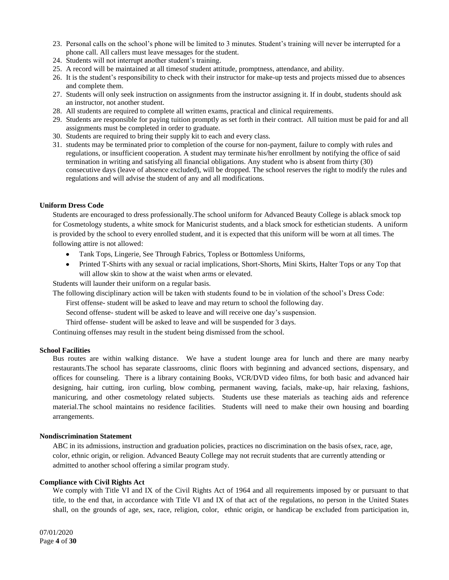- 23. Personal calls on the school's phone will be limited to 3 minutes. Student's training will never be interrupted for a phone call. All callers must leave messages for the student.
- 24. Students will not interrupt another student's training.
- 25. A record will be maintained at all timesof student attitude, promptness, attendance, and ability.
- 26. It is the student's responsibility to check with their instructor for make-up tests and projects missed due to absences and complete them.
- 27. Students will only seek instruction on assignments from the instructor assigning it. If in doubt, students should ask an instructor, not another student.
- 28. All students are required to complete all written exams, practical and clinical requirements.
- 29. Students are responsible for paying tuition promptly as set forth in their contract. All tuition must be paid for and all assignments must be completed in order to graduate.
- 30. Students are required to bring their supply kit to each and every class.
- 31. students may be terminated prior to completion of the course for non-payment, failure to comply with rules and regulations, or insufficient cooperation. A student may terminate his/her enrollment by notifying the office of said termination in writing and satisfying all financial obligations. Any student who is absent from thirty (30) consecutive days (leave of absence excluded), will be dropped. The school reserves the right to modify the rules and regulations and will advise the student of any and all modifications.

### **Uniform Dress Code**

Students are encouraged to dress professionally.The school uniform for Advanced Beauty College is ablack smock top for Cosmetology students, a white smock for Manicurist students, and a black smock for esthetician students. A uniform is provided by the school to every enrolled student, and it is expected that this uniform will be worn at all times. The following attire is not allowed:

- Tank Tops, Lingerie, See Through Fabrics, Topless or Bottomless Uniforms,
- Printed T-Shirts with any sexual or racial implications, Short-Shorts, Mini Skirts, Halter Tops or any Top that will allow skin to show at the waist when arms or elevated.

Students will launder their uniform on a regular basis.

The following disciplinary action will be taken with students found to be in violation of the school's Dress Code:

First offense- student will be asked to leave and may return to school the following day.

Second offense- student will be asked to leave and will receive one day's suspension.

Third offense- student will be asked to leave and will be suspended for 3 days.

Continuing offenses may result in the student being dismissed from the school.

### **School Facilities**

Bus routes are within walking distance. We have a student lounge area for lunch and there are many nearby restaurants.The school has separate classrooms, clinic floors with beginning and advanced sections, dispensary, and offices for counseling. There is a library containing Books, VCR/DVD video films, for both basic and advanced hair designing, hair cutting, iron curling, blow combing, permanent waving, facials, make-up, hair relaxing, fashions, manicuring, and other cosmetology related subjects. Students use these materials as teaching aids and reference material.The school maintains no residence facilities. Students will need to make their own housing and boarding arrangements.

### **Nondiscrimination Statement**

ABC in its admissions, instruction and graduation policies, practices no discrimination on the basis ofsex, race, age, color, ethnic origin, or religion. Advanced Beauty College may not recruit students that are currently attending or admitted to another school offering a similar program study.

### **Compliance with Civil Rights Act**

We comply with Title VI and IX of the Civil Rights Act of 1964 and all requirements imposed by or pursuant to that title, to the end that, in accordance with Title VI and IX of that act of the regulations, no person in the United States shall, on the grounds of age, sex, race, religion, color, ethnic origin, or handicap be excluded from participation in,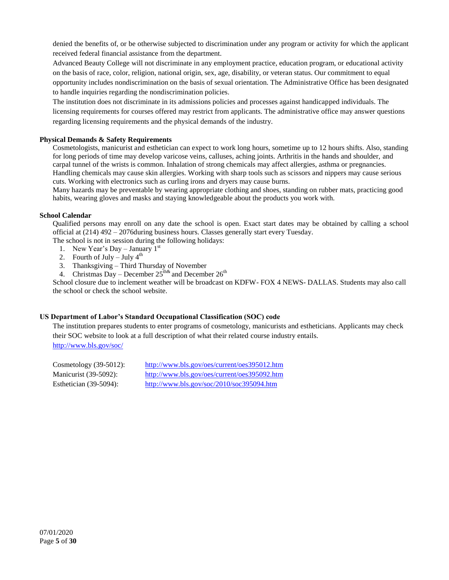denied the benefits of, or be otherwise subjected to discrimination under any program or activity for which the applicant received federal financial assistance from the department.

Advanced Beauty College will not discriminate in any employment practice, education program, or educational activity on the basis of race, color, religion, national origin, sex, age, disability, or veteran status. Our commitment to equal opportunity includes nondiscrimination on the basis of sexual orientation. The Administrative Office has been designated to handle inquiries regarding the nondiscrimination policies.

The institution does not discriminate in its admissions policies and processes against handicapped individuals. The licensing requirements for courses offered may restrict from applicants. The administrative office may answer questions regarding licensing requirements and the physical demands of the industry.

# **Physical Demands & Safety Requirements**

Cosmetologists, manicurist and esthetician can expect to work long hours, sometime up to 12 hours shifts. Also, standing for long periods of time may develop varicose veins, calluses, aching joints. Arthritis in the hands and shoulder, and carpal tunnel of the wrists is common. Inhalation of strong chemicals may affect allergies, asthma or pregnancies. Handling chemicals may cause skin allergies. Working with sharp tools such as scissors and nippers may cause serious cuts. Working with electronics such as curling irons and dryers may cause burns.

Many hazards may be preventable by wearing appropriate clothing and shoes, standing on rubber mats, practicing good habits, wearing gloves and masks and staying knowledgeable about the products you work with.

### **School Calendar**

Qualified persons may enroll on any date the school is open. Exact start dates may be obtained by calling a school official at (214) 492 – 2076during business hours. Classes generally start every Tuesday.

The school is not in session during the following holidays:

- 1. New Year's Day January  $1<sup>st</sup>$
- 2. Fourth of July July  $4<sup>th</sup>$
- 3. Thanksgiving Third Thursday of November
- 4. Christmas Day December  $25^{\text{th}\&}$  and December  $26^{\text{th}}$

School closure due to inclement weather will be broadcast on KDFW- FOX 4 NEWS- DALLAS. Students may also call the school or check the school website.

# **US Department of Labor's Standard Occupational Classification (SOC) code**

The institution prepares students to enter programs of cosmetology, manicurists and estheticians. Applicants may check their SOC website to look at a full description of what their related course industry entails. <http://www.bls.gov/soc/>

| Cosmetology $(39-5012)$ : | http://www.bls.gov/oes/current/oes395012.htm                                                  |
|---------------------------|-----------------------------------------------------------------------------------------------|
| Manicurist (39-5092):     | http://www.bls.gov/oes/current/oes395092.htm                                                  |
| Esthetician $(39-5094)$ : | $\frac{http://www.bls.gov/soc/2010/soc395094.htm}{http://www.bls.gov/soc/2010/soc395094.htm}$ |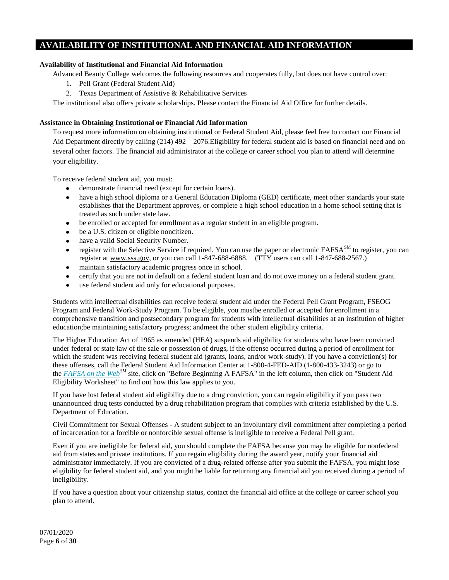# **AVAILABILITY OF INSTITUTIONAL AND FINANCIAL AID INFORMATION**

# **Availability of Institutional and Financial Aid Information**

Advanced Beauty College welcomes the following resources and cooperates fully, but does not have control over:

- 1. Pell Grant (Federal Student Aid)
- 2. Texas Department of Assistive & Rehabilitative Services

The institutional also offers private scholarships. Please contact the Financial Aid Office for further details.

# **Assistance in Obtaining Institutional or Financial Aid Information**

To request more information on obtaining institutional or Federal Student Aid, please feel free to contact our Financial Aid Department directly by calling (214) 492 – 2076.Eligibility for federal student aid is based on financial need and on several other factors. The financial aid administrator at the college or career school you plan to attend will determine your eligibility.

To receive federal student aid, you must:

- demonstrate financial need (except for certain loans).
- have a high school diploma or a General Education Diploma (GED) certificate, meet other standards your state establishes that the Department approves, or complete a high school education in a home school setting that is treated as such under state law.
- be enrolled or accepted for enrollment as a regular student in an eligible program.
- be a U.S. citizen or [eligible noncitizen.](http://studentaid.ed.gov/PORTALSWebApp/students/english/Glossary.jsp#elegiblenoncitizen)
- $\bullet$ have a valid Social Security Number.
- register with the Selective Service if required. You can use the paper or electronic FAFSA<sup>SM</sup> to register, you can  $\bullet$ register at [www.sss.gov,](http://www.sss.gov/) or you can call 1-847-688-6888. (TTY users can call 1-847-688-2567.)
- maintain satisfactory academic progress once in school.
- $\bullet$ certify that you are not in default on a federal student loan and do not owe money on a federal student grant.
- $\bullet$ use federal student aid only for educational purposes.

Students with intellectual disabilities can receive federal student aid under the Federal Pell Grant Program, FSEOG Program and Federal Work-Study Program. To be eligible, you mustbe enrolled or accepted for enrollment in a comprehensive transition and postsecondary program for students with intellectual disabilities at an institution of higher education;be maintaining satisfactory progress; andmeet the other student eligibility criteria.

The Higher Education Act of 1965 as amended (HEA) suspends aid eligibility for students who have been convicted under federal or state law of the sale or possession of drugs, if the offense occurred during a period of enrollment for which the student was receiving federal student aid (grants, loans, and/or work-study). If you have a conviction(s) for these offenses, call the Federal Student Aid Information Center at 1-800-4-FED-AID (1-800-433-3243) or go to the *[FAFSA on the Web](http://www.fafsa.ed.gov/)SM* site, click on "Before Beginning A FAFSA" in the left column, then click on "Student Aid Eligibility Worksheet" to find out how this law applies to you.

If you have lost federal student aid eligibility due to a drug conviction, you can regain eligibility if you pass two unannounced drug tests conducted by a drug rehabilitation program that complies with criteria established by the U.S. Department of Education.

Civil Commitment for Sexual Offenses - A student subject to an involuntary civil commitment after completing a period of incarceration for a forcible or nonforcible sexual offense is ineligible to receive a Federal Pell grant.

Even if you are ineligible for federal aid, you should complete the FAFSA because you may be eligible for nonfederal aid from states and private institutions. If you regain eligibility during the award year, notify your financial aid administrator immediately. If you are convicted of a drug-related offense after you submit the FAFSA, you might lose eligibility for federal student aid, and you might be liable for returning any financial aid you received during a period of ineligibility.

If you have a question about your citizenship status, contact the financial aid office at the college or career school you plan to attend.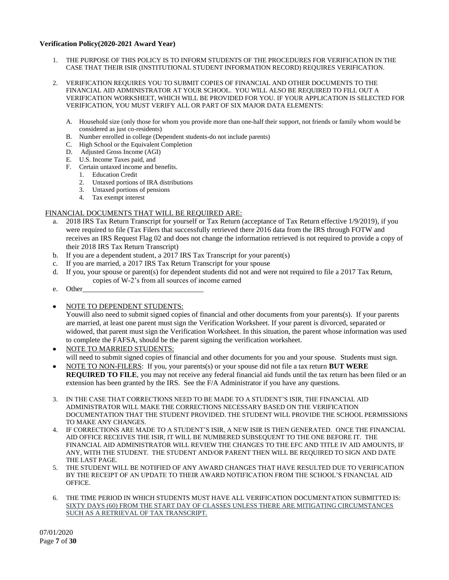### **Verification Policy(2020-2021 Award Year)**

- 1. THE PURPOSE OF THIS POLICY IS TO INFORM STUDENTS OF THE PROCEDURES FOR VERIFICATION IN THE CASE THAT THEIR ISIR (INSTITUTIONAL STUDENT INFORMATION RECORD) REQUIRES VERIFICATION.
- 2. VERIFICATION REQUIRES YOU TO SUBMIT COPIES OF FINANCIAL AND OTHER DOCUMENTS TO THE FINANCIAL AID ADMINISTRATOR AT YOUR SCHOOL. YOU WILL ALSO BE REQUIRED TO FILL OUT A VERIFICATION WORKSHEET, WHICH WILL BE PROVIDED FOR YOU. IF YOUR APPLICATION IS SELECTED FOR VERIFICATION, YOU MUST VERIFY ALL OR PART OF SIX MAJOR DATA ELEMENTS:
	- A. Household size (only those for whom you provide more than one-half their support, not friends or family whom would be considered as just co-residents)
	- B. Number enrolled in college (Dependent students-do not include parents)
	- C. High School or the Equivalent Completion
	- D. Adjusted Gross Income (AGI)
	- E. U.S. Income Taxes paid, and
	- F. Certain untaxed income and benefits.
		- 1. Education Credit
		- 2. Untaxed portions of IRA distributions
		- 3. Untaxed portions of pensions
		- 4. Tax exempt interest

# FINANCIAL DOCUMENTS THAT WILL BE REQUIRED ARE:

- a. 2018 IRS Tax Return Transcript for yourself or Tax Return (acceptance of Tax Return effective 1/9/2019), if you were required to file (Tax Filers that successfully retrieved there 2016 data from the IRS through FOTW and receives an IRS Request Flag 02 and does not change the information retrieved is not required to provide a copy of their 2018 IRS Tax Return Transcript)
- b. If you are a dependent student, a 2017 IRS Tax Transcript for your parent(s)
- c. If you are married, a 2017 IRS Tax Return Transcript for your spouse
- d. If you, your spouse or parent(s) for dependent students did not and were not required to file a 2017 Tax Return, copies of W-2's from all sources of income earned
- e. Other

# NOTE TO DEPENDENT STUDENTS:

You will also need to submit signed copies of financial and other documents from your parents(s). If your parents are married, at least one parent must sign the Verification Worksheet. If your parent is divorced, separated or widowed, that parent must sign the Verification Worksheet. In this situation, the parent whose information was used to complete the FAFSA, should be the parent signing the verification worksheet.

- NOTE TO MARRIED STUDENTS: will need to submit signed copies of financial and other documents for you and your spouse. Students must sign.
- NOTE TO NON-FILERS: If you, your parents(s) or your spouse did not file a tax return **BUT WERE REQUIRED TO FILE**, you may not receive any federal financial aid funds until the tax return has been filed or an extension has been granted by the IRS. See the F/A Administrator if you have any questions.
- 3. IN THE CASE THAT CORRECTIONS NEED TO BE MADE TO A STUDENT'S ISIR, THE FINANCIAL AID ADMINISTRATOR WILL MAKE THE CORRECTIONS NECESSARY BASED ON THE VERIFICATION DOCUMENTATION THAT THE STUDENT PROVIDED. THE STUDENT WILL PROVIDE THE SCHOOL PERMISSIONS TO MAKE ANY CHANGES.
- 4. IF CORRECTIONS ARE MADE TO A STUDENT'S ISIR, A NEW ISIR IS THEN GENERATED. ONCE THE FINANCIAL AID OFFICE RECEIVES THE ISIR, IT WILL BE NUMBERED SUBSEQUENT TO THE ONE BEFORE IT. THE FINANCIAL AID ADMINISTRATOR WILL REVIEW THE CHANGES TO THE EFC AND TITLE IV AID AMOUNTS, IF ANY, WITH THE STUDENT. THE STUDENT AND/OR PARENT THEN WILL BE REQUIRED TO SIGN AND DATE THE LAST PAGE.
- 5. THE STUDENT WILL BE NOTIFIED OF ANY AWARD CHANGES THAT HAVE RESULTED DUE TO VERIFICATION BY THE RECEIPT OF AN UPDATE TO THEIR AWARD NOTIFICATION FROM THE SCHOOL'S FINANCIAL AID OFFICE.
- 6. THE TIME PERIOD IN WHICH STUDENTS MUST HAVE ALL VERIFICATION DOCUMENTATION SUBMITTED IS: SIXTY DAYS (60) FROM THE START DAY OF CLASSES UNLESS THERE ARE MITIGATING CIRCUMSTANCES SUCH AS A RETRIEVAL OF TAX TRANSCRIPT.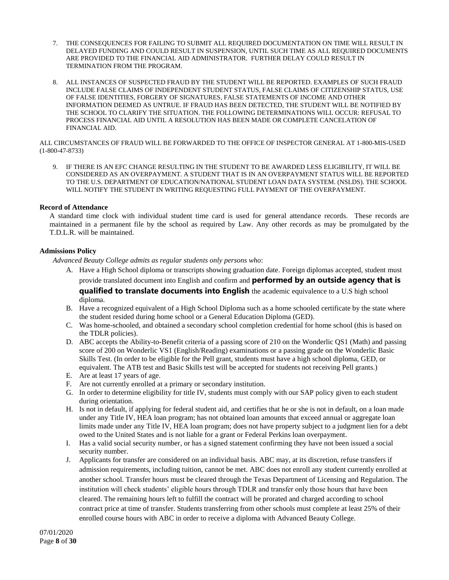- 7. THE CONSEQUENCES FOR FAILING TO SUBMIT ALL REQUIRED DOCUMENTATION ON TIME WILL RESULT IN DELAYED FUNDING AND COULD RESULT IN SUSPENSION, UNTIL SUCH TIME AS ALL REQUIRED DOCUMENTS ARE PROVIDED TO THE FINANCIAL AID ADMINISTRATOR. FURTHER DELAY COULD RESULT IN TERMINATION FROM THE PROGRAM.
- 8. ALL INSTANCES OF SUSPECTED FRAUD BY THE STUDENT WILL BE REPORTED. EXAMPLES OF SUCH FRAUD INCLUDE FALSE CLAIMS OF INDEPENDENT STUDENT STATUS, FALSE CLAIMS OF CITIZENSHIP STATUS, USE OF FALSE IDENTITIES, FORGERY OF SIGNATURES, FALSE STATEMENTS OF INCOME AND OTHER INFORMATION DEEMED AS UNTRUE. IF FRAUD HAS BEEN DETECTED, THE STUDENT WILL BE NOTIFIED BY THE SCHOOL TO CLARIFY THE SITUATION. THE FOLLOWING DETERMINATIONS WILL OCCUR: REFUSAL TO PROCESS FINANCIAL AID UNTIL A RESOLUTION HAS BEEN MADE OR COMPLETE CANCELATION OF FINANCIAL AID.

ALL CIRCUMSTANCES OF FRAUD WILL BE FORWARDED TO THE OFFICE OF INSPECTOR GENERAL AT 1-800-MIS-USED (1-800-47-8733)

9. IF THERE IS AN EFC CHANGE RESULTING IN THE STUDENT TO BE AWARDED LESS ELIGIBILITY, IT WILL BE CONSIDERED AS AN OVERPAYMENT. A STUDENT THAT IS IN AN OVERPAYMENT STATUS WILL BE REPORTED TO THE U.S. DEPARTMENT OF EDUCATION/NATIONAL STUDENT LOAN DATA SYSTEM. (NSLDS). THE SCHOOL WILL NOTIFY THE STUDENT IN WRITING REQUESTING FULL PAYMENT OF THE OVERPAYMENT.

# **Record of Attendance**

A standard time clock with individual student time card is used for general attendance records. These records are maintained in a permanent file by the school as required by Law. Any other records as may be promulgated by the T.D.L.R. will be maintained.

# **Admissions Policy**

*Advanced Beauty College admits as regular students only persons who*:

- A. Have a High School diploma or transcripts showing graduation date. Foreign diplomas accepted, student must provide translated document into English and confirm and **performed by an outside agency that is qualified to translate documents into English** the academic equivalence to a U.S high school diploma.
- B. Have a recognized equivalent of a High School Diploma such as a home schooled certificate by the state where the student resided during home school or a General Education Diploma (GED).
- C. Was home-schooled, and obtained a secondary school completion credential for home school (this is based on the TDLR policies).
- D. ABC accepts the Ability-to-Benefit criteria of a passing score of 210 on the Wonderlic QS1 (Math) and passing score of 200 on Wonderlic VS1 (English/Reading) examinations or a passing grade on the Wonderlic Basic Skills Test. (In order to be eligible for the Pell grant, students must have a high school diploma, GED, or equivalent. The ATB test and Basic Skills test will be accepted for students not receiving Pell grants.)
- E. Are at least 17 years of age.
- F. Are not currently enrolled at a primary or secondary institution.
- G. In order to determine eligibility for title IV, students must comply with our SAP policy given to each student during orientation.
- H. Is not in default, if applying for federal student aid, and certifies that he or she is not in default, on a loan made under any Title IV, HEA loan program; has not obtained loan amounts that exceed annual or aggregate loan limits made under any Title IV, HEA loan program; does not have property subject to a judgment lien for a debt owed to the United States and is not liable for a grant or Federal Perkins loan overpayment.
- I. Has a valid social security number, or has a signed statement confirming they have not been issued a social security number.
- J. Applicants for transfer are considered on an individual basis. ABC may, at its discretion, refuse transfers if admission requirements, including tuition, cannot be met. ABC does not enroll any student currently enrolled at another school. Transfer hours must be cleared through the Texas Department of Licensing and Regulation. The institution will check students' eligible hours through TDLR and transfer only those hours that have been cleared. The remaining hours left to fulfill the contract will be prorated and charged according to school contract price at time of transfer. Students transferring from other schools must complete at least 25% of their enrolled course hours with ABC in order to receive a diploma with Advanced Beauty College.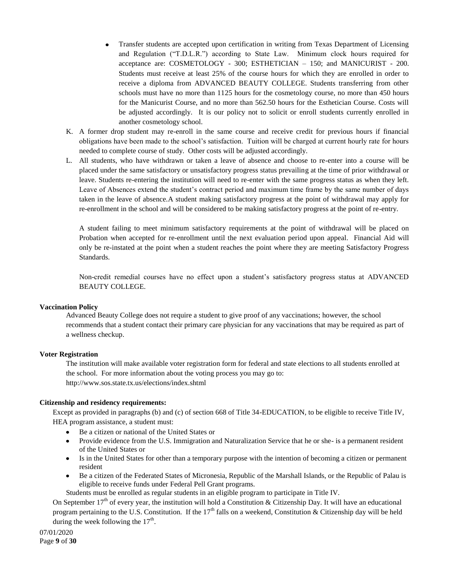- Transfer students are accepted upon certification in writing from Texas Department of Licensing and Regulation ("T.D.L.R.") according to State Law. Minimum clock hours required for acceptance are: COSMETOLOGY - 300; ESTHETICIAN – 150; and MANICURIST - 200. Students must receive at least 25% of the course hours for which they are enrolled in order to receive a diploma from ADVANCED BEAUTY COLLEGE. Students transferring from other schools must have no more than 1125 hours for the cosmetology course, no more than 450 hours for the Manicurist Course, and no more than 562.50 hours for the Esthetician Course. Costs will be adjusted accordingly. It is our policy not to solicit or enroll students currently enrolled in another cosmetology school.
- K. A former drop student may re-enroll in the same course and receive credit for previous hours if financial obligations have been made to the school's satisfaction. Tuition will be charged at current hourly rate for hours needed to complete course of study. Other costs will be adjusted accordingly.
- L. All students, who have withdrawn or taken a leave of absence and choose to re-enter into a course will be placed under the same satisfactory or unsatisfactory progress status prevailing at the time of prior withdrawal or leave. Students re-entering the institution will need to re-enter with the same progress status as when they left. Leave of Absences extend the student's contract period and maximum time frame by the same number of days taken in the leave of absence.A student making satisfactory progress at the point of withdrawal may apply for re-enrollment in the school and will be considered to be making satisfactory progress at the point of re-entry.

A student failing to meet minimum satisfactory requirements at the point of withdrawal will be placed on Probation when accepted for re-enrollment until the next evaluation period upon appeal. Financial Aid will only be re-instated at the point when a student reaches the point where they are meeting Satisfactory Progress Standards.

Non-credit remedial courses have no effect upon a student's satisfactory progress status at ADVANCED BEAUTY COLLEGE.

### **Vaccination Policy**

Advanced Beauty College does not require a student to give proof of any vaccinations; however, the school recommends that a student contact their primary care physician for any vaccinations that may be required as part of a wellness checkup.

### **Voter Registration**

The institution will make available voter registration form for federal and state elections to all students enrolled at the school. For more information about the voting process you may go to: http://www.sos.state.tx.us/elections/index.shtml

### **Citizenship and residency requirements:**

Except as provided in paragraphs (b) and (c) of section 668 of Title 34-EDUCATION, to be eligible to receive Title IV, HEA program assistance, a student must:

- Be a citizen or national of the United States or
- Provide evidence from the U.S. Immigration and Naturalization Service that he or she- is a permanent resident of the United States or
- Is in the United States for other than a temporary purpose with the intention of becoming a citizen or permanent resident
- Be a citizen of the Federated States of Micronesia, Republic of the Marshall Islands, or the Republic of Palau is eligible to receive funds under Federal Pell Grant programs.

Students must be enrolled as regular students in an eligible program to participate in Title IV.

On September  $17<sup>th</sup>$  of every year, the institution will hold a Constitution & Citizenship Day. It will have an educational program pertaining to the U.S. Constitution. If the  $17<sup>th</sup>$  falls on a weekend, Constitution & Citizenship day will be held during the week following the  $17<sup>th</sup>$ .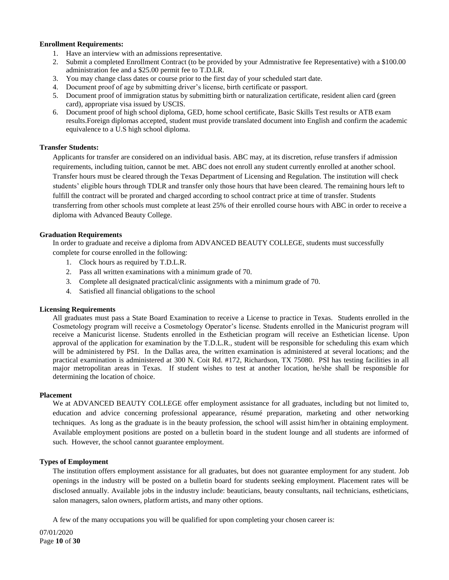### **Enrollment Requirements:**

- 1. Have an interview with an admissions representative.
- 2. Submit a completed Enrollment Contract (to be provided by your Admnistrative fee Representative) with a \$100.00 administration fee and a \$25.00 permit fee to T.D.LR.
- 3. You may change class dates or course prior to the first day of your scheduled start date.
- 4. Document proof of age by submitting driver's license, birth certificate or passport.
- 5. Document proof of immigration status by submitting birth or naturalization certificate, resident alien card (green card), appropriate visa issued by USCIS.
- 6. Document proof of high school diploma, GED, home school certificate, Basic Skills Test results or ATB exam results.Foreign diplomas accepted, student must provide translated document into English and confirm the academic equivalence to a U.S high school diploma.

### **Transfer Students:**

Applicants for transfer are considered on an individual basis. ABC may, at its discretion, refuse transfers if admission requirements, including tuition, cannot be met. ABC does not enroll any student currently enrolled at another school. Transfer hours must be cleared through the Texas Department of Licensing and Regulation. The institution will check students' eligible hours through TDLR and transfer only those hours that have been cleared. The remaining hours left to fulfill the contract will be prorated and charged according to school contract price at time of transfer. Students transferring from other schools must complete at least 25% of their enrolled course hours with ABC in order to receive a diploma with Advanced Beauty College.

### **Graduation Requirements**

In order to graduate and receive a diploma from ADVANCED BEAUTY COLLEGE, students must successfully complete for course enrolled in the following:

- 1. Clock hours as required by T.D.L.R.
- 2. Pass all written examinations with a minimum grade of 70.
- 3. Complete all designated practical/clinic assignments with a minimum grade of 70.
- 4. Satisfied all financial obligations to the school

### **Licensing Requirements**

All graduates must pass a State Board Examination to receive a License to practice in Texas. Students enrolled in the Cosmetology program will receive a Cosmetology Operator's license. Students enrolled in the Manicurist program will receive a Manicurist license. Students enrolled in the Esthetician program will receive an Esthetician license. Upon approval of the application for examination by the T.D.L.R., student will be responsible for scheduling this exam which will be administered by PSI. In the Dallas area, the written examination is administered at several locations; and the practical examination is administered at 300 N. Coit Rd. #172, Richardson, TX 75080. PSI has testing facilities in all major metropolitan areas in Texas. If student wishes to test at another location, he/she shall be responsible for determining the location of choice.

### **Placement**

We at ADVANCED BEAUTY COLLEGE offer employment assistance for all graduates, including but not limited to, education and advice concerning professional appearance, résumé preparation, marketing and other networking techniques. As long as the graduate is in the beauty profession, the school will assist him/her in obtaining employment. Available employment positions are posted on a bulletin board in the student lounge and all students are informed of such. However, the school cannot guarantee employment.

### **Types of Employment**

The institution offers employment assistance for all graduates, but does not guarantee employment for any student. Job openings in the industry will be posted on a bulletin board for students seeking employment. Placement rates will be disclosed annually. Available jobs in the industry include: beauticians, beauty consultants, nail technicians, estheticians, salon managers, salon owners, platform artists, and many other options.

A few of the many occupations you will be qualified for upon completing your chosen career is: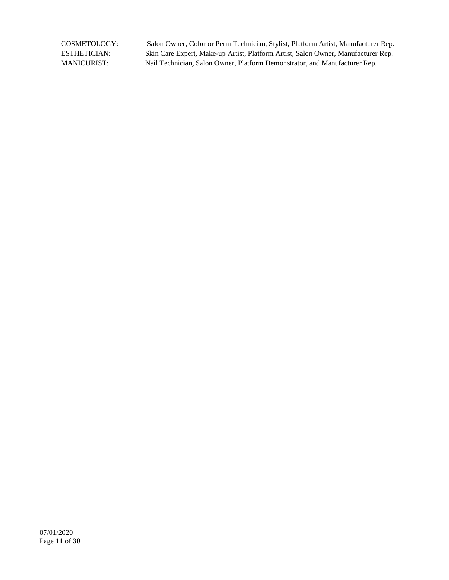COSMETOLOGY: Salon Owner, Color or Perm Technician, Stylist, Platform Artist, Manufacturer Rep. ESTHETICIAN: Skin Care Expert, Make-up Artist, Platform Artist, Salon Owner, Manufacturer Rep. MANICURIST: Nail Technician, Salon Owner, Platform Demonstrator, and Manufacturer Rep.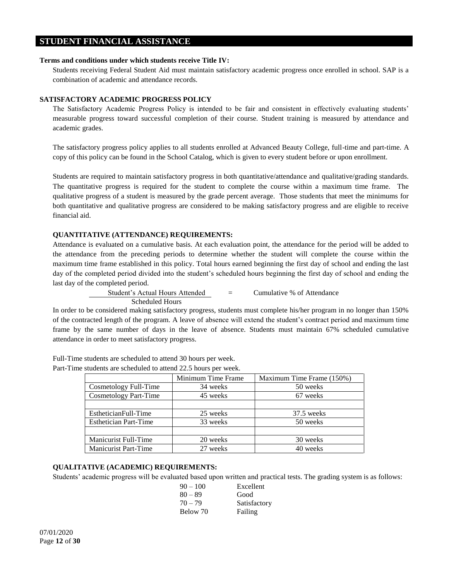# **STUDENT FINANCIAL ASSISTANCE**

### **Terms and conditions under which students receive Title IV:**

Students receiving Federal Student Aid must maintain satisfactory academic progress once enrolled in school. SAP is a combination of academic and attendance records.

# **SATISFACTORY ACADEMIC PROGRESS POLICY**

The Satisfactory Academic Progress Policy is intended to be fair and consistent in effectively evaluating students' measurable progress toward successful completion of their course. Student training is measured by attendance and academic grades.

The satisfactory progress policy applies to all students enrolled at Advanced Beauty College, full-time and part-time. A copy of this policy can be found in the School Catalog, which is given to every student before or upon enrollment.

Students are required to maintain satisfactory progress in both quantitative/attendance and qualitative/grading standards. The quantitative progress is required for the student to complete the course within a maximum time frame. The qualitative progress of a student is measured by the grade percent average. Those students that meet the minimums for both quantitative and qualitative progress are considered to be making satisfactory progress and are eligible to receive financial aid.

# **QUANTITATIVE (ATTENDANCE) REQUIREMENTS:**

Attendance is evaluated on a cumulative basis. At each evaluation point, the attendance for the period will be added to the attendance from the preceding periods to determine whether the student will complete the course within the maximum time frame established in this policy. Total hours earned beginning the first day of school and ending the last day of the completed period divided into the student's scheduled hours beginning the first day of school and ending the last day of the completed period.

> Student's Actual Hours Attended = Cumulative % of Attendance Scheduled Hours

In order to be considered making satisfactory progress, students must complete his/her program in no longer than 150% of the contracted length of the program. A leave of absence will extend the student's contract period and maximum time frame by the same number of days in the leave of absence. Students must maintain 67% scheduled cumulative attendance in order to meet satisfactory progress.

|                              | Minimum Time Frame | Maximum Time Frame (150%) |
|------------------------------|--------------------|---------------------------|
| Cosmetology Full-Time        | 34 weeks           | 50 weeks                  |
| <b>Cosmetology Part-Time</b> | 45 weeks           | 67 weeks                  |
|                              |                    |                           |
| EstheticianFull-Time         | 25 weeks           | 37.5 weeks                |
| <b>Esthetician Part-Time</b> | 33 weeks           | 50 weeks                  |
|                              |                    |                           |
| Manicurist Full-Time         | 20 weeks           | 30 weeks                  |
| <b>Manicurist Part-Time</b>  | 27 weeks           | 40 weeks                  |

Full-Time students are scheduled to attend 30 hours per week. Part-Time students are scheduled to attend 22.5 hours per week.

# **QUALITATIVE (ACADEMIC) REQUIREMENTS:**

Students' academic progress will be evaluated based upon written and practical tests. The grading system is as follows:

| $90 - 100$ | Excellent    |
|------------|--------------|
| $80 - 89$  | Good         |
| 70 – 79    | Satisfactory |
| Below 70   | Failing      |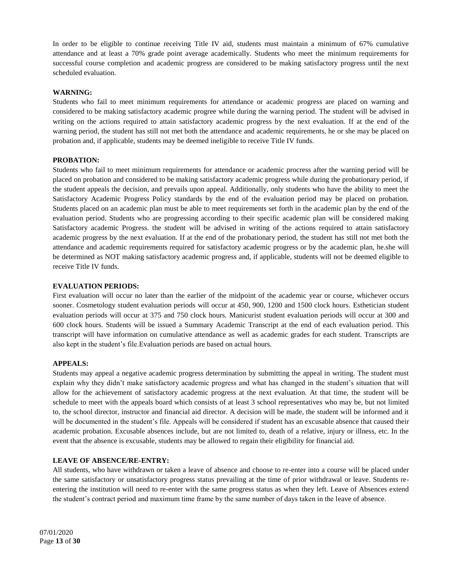In order to be eligible to continue receiving Title IV aid, students must maintain a minimum of 67% cumulative attendance and at least a 70% grade point average academically. Students who meet the minimum requirements for successful course completion and academic progress are considered to be making satisfactory progress until the next scheduled evaluation.

# **WARNING:**

Students who fail to meet minimum requirements for attendance or academic progress are placed on warning and considered to be making satisfactory academic progree while during the warning period. The student will be advised in writing on the actions required to attain satisfactory academic progress by the next evaluation. If at the end of the warning period, the student has still not met both the attendance and academic requirements, he or she may be placed on probation and, if applicable, students may be deemed ineligible to receive Title IV funds.

### **PROBATION:**

Students who fail to meet minimum requirements for attendance or academic procress after the warning period will be placed on probation and considered to be making satisfactory academic progress while during the probationary period, if the student appeals the decision, and prevails upon appeal. Additionally, only students who have the ability to meet the Satisfactory Academic Progress Policy standards by the end of the evaluation period may be placed on probation. Students placed on an academic plan must be able to meet requirements set forth in the academic plan by the end of the evaluation period. Students who are progressing according to their specific academic plan will be considered making Satisfactory academic Progress. the student will be advised in writing of the actions required to attain satisfactory academic progress by the next evaluation. If at the end of the probationary period, the student has still not met both the attendance and academic requirements required for satisfactory academic progress or by the academic plan, he.she will be determined as NOT making satisfactory academic progress and, if applicable, students will not be deemed eligible to receive Title IV funds.

# **EVALUATION PERIODS:**

First evaluation will occur no later than the earlier of the midpoint of the academic year or course, whichever occurs sooner. Cosmetology student evaluation periods will occur at 450, 900, 1200 and 1500 clock hours. Esthetician student evaluation periods will occur at 375 and 750 clock hours. Manicurist student evaluation periods will occur at 300 and 600 clock hours. Students will be issued a Summary Academic Transcript at the end of each evaluation period. This transcript will have information on cumulative attendance as well as academic grades for each student. Transcripts are also kept in the student's file.Evaluation periods are based on actual hours.

# **APPEALS:**

Students may appeal a negative academic progress determination by submitting the appeal in writing. The student must explain why they didn't make satisfactory academic progress and what has changed in the student's situation that will allow for the achievement of satisfactory academic progress at the next evaluation. At that time, the student will be schedule to meet with the appeals board which consists of at least 3 school representatives who may be, but not limited to, the school director, instructor and financial aid director. A decision will be made, the student will be informed and it will be documented in the student's file. Appeals will be considered if student has an excusable absence that caused their academic probation. Excusable absences include, but are not limited to, death of a relative, injury or illness, etc. In the event that the absence is excusable, students may be allowed to regain their eligibility for financial aid.

### **LEAVE OF ABSENCE/RE-ENTRY:**

All students, who have withdrawn or taken a leave of absence and choose to re-enter into a course will be placed under the same satisfactory or unsatisfactory progress status prevailing at the time of prior withdrawal or leave. Students reentering the institution will need to re-enter with the same progress status as when they left. Leave of Absences extend the student's contract period and maximum time frame by the same number of days taken in the leave of absence.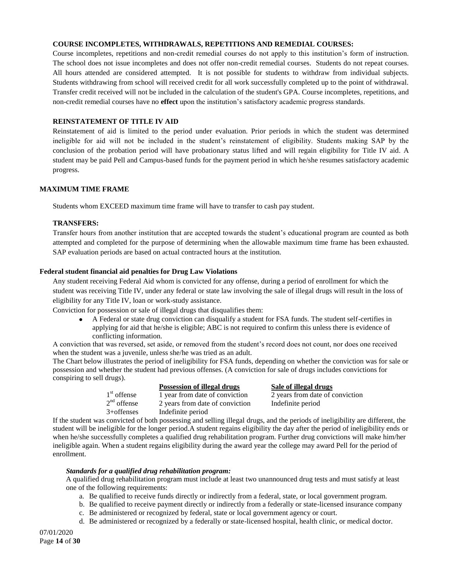### **COURSE INCOMPLETES, WITHDRAWALS, REPETITIONS AND REMEDIAL COURSES:**

Course incompletes, repetitions and non-credit remedial courses do not apply to this institution's form of instruction. The school does not issue incompletes and does not offer non-credit remedial courses. Students do not repeat courses. All hours attended are considered attempted. It is not possible for students to withdraw from individual subjects. Students withdrawing from school will received credit for all work successfully completed up to the point of withdrawal. Transfer credit received will not be included in the calculation of the student's GPA. Course incompletes, repetitions, and non-credit remedial courses have no **effect** upon the institution's satisfactory academic progress standards.

### **REINSTATEMENT OF TITLE IV AID**

Reinstatement of aid is limited to the period under evaluation. Prior periods in which the student was determined ineligible for aid will not be included in the student's reinstatement of eligibility. Students making SAP by the conclusion of the probation period will have probationary status lifted and will regain eligibility for Title IV aid. A student may be paid Pell and Campus-based funds for the payment period in which he/she resumes satisfactory academic progress.

### **MAXIMUM TIME FRAME**

Students whom EXCEED maximum time frame will have to transfer to cash pay student.

### **TRANSFERS:**

Transfer hours from another institution that are accepted towards the student's educational program are counted as both attempted and completed for the purpose of determining when the allowable maximum time frame has been exhausted. SAP evaluation periods are based on actual contracted hours at the institution.

### **Federal student financial aid penalties for Drug Law Violations**

Any student receiving Federal Aid whom is convicted for any offense, during a period of enrollment for which the student was receiving Title IV, under any federal or state law involving the sale of illegal drugs will result in the loss of eligibility for any Title IV, loan or work-study assistance.

Conviction for possession or sale of illegal drugs that disqualifies them:

A Federal or state drug conviction can disqualify a student for FSA funds. The student self-certifies in  $\bullet$ applying for aid that he/she is eligible; ABC is not required to confirm this unless there is evidence of conflicting information.

A conviction that was reversed, set aside, or removed from the student's record does not count, nor does one received when the student was a juvenile, unless she/he was tried as an adult.

The Chart below illustrates the period of ineligibility for FSA funds, depending on whether the conviction was for sale or possession and whether the student had previous offenses. (A conviction for sale of drugs includes convictions for conspiring to sell drugs).

|               | Possession of illegal drugs     | Sale of illegal drugs           |
|---------------|---------------------------------|---------------------------------|
| $1st$ offense | 1 year from date of conviction  | 2 years from date of conviction |
| $2nd$ offense | 2 years from date of conviction | Indefinite period               |
| $3+$ offenses | Indefinite period               |                                 |
|               |                                 |                                 |

If the student was convicted of both possessing and selling illegal drugs, and the periods of ineligibility are different, the student will be ineligible for the longer period.A student regains eligibility the day after the period of ineligibility ends or when he/she successfully completes a qualified drug rehabilitation program. Further drug convictions will make him/her ineligible again. When a student regains eligibility during the award year the college may award Pell for the period of enrollment.

### *Standards for a qualified drug rehabilitation program:*

A qualified drug rehabilitation program must include at least two unannounced drug tests and must satisfy at least one of the following requirements:

- a. Be qualified to receive funds directly or indirectly from a federal, state, or local government program.
- b. Be qualified to receive payment directly or indirectly from a federally or state-licensed insurance company
- c. Be administered or recognized by federal, state or local government agency or court.
- d. Be administered or recognized by a federally or state-licensed hospital, health clinic, or medical doctor.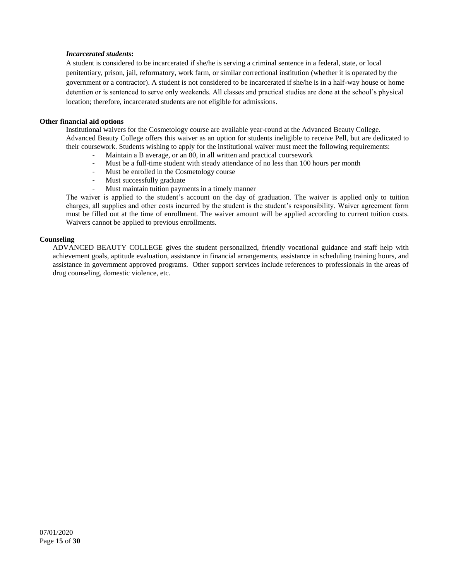# *Incarcerated students***:**

A student is considered to be incarcerated if she/he is serving a criminal sentence in a federal, state, or local penitentiary, prison, jail, reformatory, work farm, or similar correctional institution (whether it is operated by the government or a contractor). A student is not considered to be incarcerated if she/he is in a half-way house or home detention or is sentenced to serve only weekends. All classes and practical studies are done at the school's physical location; therefore, incarcerated students are not eligible for admissions.

# **Other financial aid options**

Institutional waivers for the Cosmetology course are available year-round at the Advanced Beauty College. Advanced Beauty College offers this waiver as an option for students ineligible to receive Pell, but are dedicated to their coursework. Students wishing to apply for the institutional waiver must meet the following requirements:

- Maintain a B average, or an 80, in all written and practical coursework
- Must be a full-time student with steady attendance of no less than 100 hours per month
- Must be enrolled in the Cosmetology course
- Must successfully graduate
- Must maintain tuition payments in a timely manner

The waiver is applied to the student's account on the day of graduation. The waiver is applied only to tuition charges, all supplies and other costs incurred by the student is the student's responsibility. Waiver agreement form must be filled out at the time of enrollment. The waiver amount will be applied according to current tuition costs. Waivers cannot be applied to previous enrollments.

# **Counseling**

ADVANCED BEAUTY COLLEGE gives the student personalized, friendly vocational guidance and staff help with achievement goals, aptitude evaluation, assistance in financial arrangements, assistance in scheduling training hours, and assistance in government approved programs. Other support services include references to professionals in the areas of drug counseling, domestic violence, etc.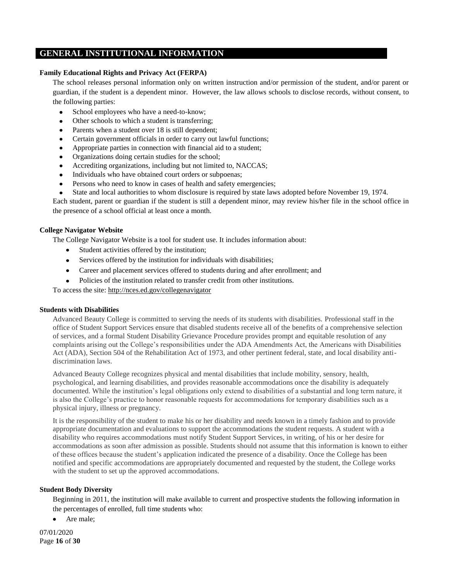# **GENERAL INSTITUTIONAL INFORMATION**

### **Family Educational Rights and Privacy Act (FERPA)**

The school releases personal information only on written instruction and/or permission of the student, and/or parent or guardian, if the student is a dependent minor. However, the law allows schools to disclose records, without consent, to the following parties:

School employees who have a need-to-know;

- Other schools to which a student is transferring;
- Parents when a student over 18 is still dependent;  $\bullet$
- Certain government officials in order to carry out lawful functions;  $\bullet$
- Appropriate parties in connection with financial aid to a student;  $\bullet$
- Organizations doing certain studies for the school;
- Accrediting organizations, including but not limited to, NACCAS;  $\bullet$
- Individuals who have obtained court orders or subpoenas;  $\bullet$
- Persons who need to know in cases of health and safety emergencies;
- State and local authorities to whom disclosure is required by state laws adopted before November 19, 1974.

Each student, parent or guardian if the student is still a dependent minor, may review his/her file in the school office in the presence of a school official at least once a month.

### **College Navigator Website**

The College Navigator Website is a tool for student use. It includes information about:

- Student activities offered by the institution;  $\bullet$
- Services offered by the institution for individuals with disabilities;  $\bullet$
- Career and placement services offered to students during and after enrollment; and
- Policies of the institution related to transfer credit from other institutions.

To access the site:<http://nces.ed.gov/collegenavigator>

### **Students with Disabilities**

Advanced Beauty College is committed to serving the needs of its students with disabilities. Professional staff in the office of Student Support Services ensure that disabled students receive all of the benefits of a comprehensive selection of services, and a formal Student Disability Grievance Procedure provides prompt and equitable resolution of any complaints arising out the College's responsibilities under the ADA Amendments Act, the Americans with Disabilities Act (ADA), Section 504 of the Rehabilitation Act of 1973, and other pertinent federal, state, and local disability antidiscrimination laws.

Advanced Beauty College recognizes physical and mental disabilities that include mobility, sensory, health, psychological, and learning disabilities, and provides reasonable accommodations once the disability is adequately documented. While the institution's legal obligations only extend to disabilities of a substantial and long term nature, it is also the College's practice to honor reasonable requests for accommodations for temporary disabilities such as a physical injury, illness or pregnancy.

It is the responsibility of the student to make his or her disability and needs known in a timely fashion and to provide appropriate documentation and evaluations to support the accommodations the student requests. A student with a disability who requires accommodations must notify Student Support Services, in writing, of his or her desire for accommodations as soon after admission as possible. Students should not assume that this information is known to either of these offices because the student's application indicated the presence of a disability. Once the College has been notified and specific accommodations are appropriately documented and requested by the student, the College works with the student to set up the approved accommodations.

# **Student Body Diversity**

Beginning in 2011, the institution will make available to current and prospective students the following information in the percentages of enrolled, full time students who:

• Are male:

07/01/2020 Page **16** of **30**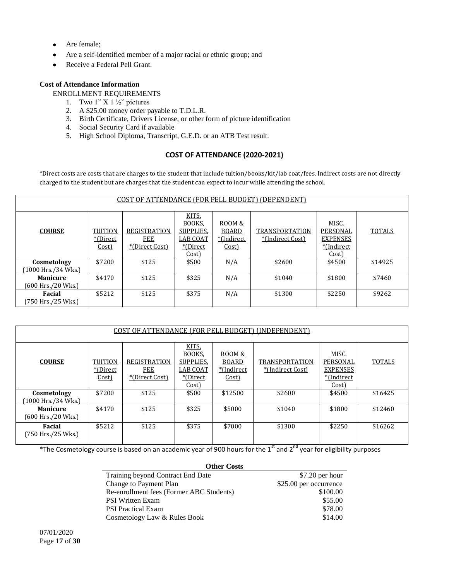- Are female;  $\bullet$
- Are a self-identified member of a major racial or ethnic group; and  $\bullet$
- Receive a Federal Pell Grant.  $\bullet$

# **Cost of Attendance Information**

ENROLLMENT REQUIREMENTS

- 1. Two  $1$ " X  $1\frac{1}{2}$ " pictures
- 2. A \$25.00 money order payable to T.D.L.R.
- 3. Birth Certificate, Drivers License, or other form of picture identification
- 4. Social Security Card if available
- 5. High School Diploma, Transcript, G.E.D. or an ATB Test result.

# **COST OF ATTENDANCE (2020-2021)**

\*Direct costs are costs that are charges to the student that include tuition/books/kit/lab coat/fees. Indirect costs are not directly charged to the student but are charges that the student can expect to incur while attending the school.

| COST OF ATTENDANCE (FOR PELL BUDGET) (DEPENDENT) |                                     |                                       |                                                                      |                                        |                                           |                                                             |               |
|--------------------------------------------------|-------------------------------------|---------------------------------------|----------------------------------------------------------------------|----------------------------------------|-------------------------------------------|-------------------------------------------------------------|---------------|
| <b>COURSE</b>                                    | <b>TUITION</b><br>*(Direct<br>Cost) | REGISTRATION<br>FEE<br>*(Direct Cost) | KITS.<br>BOOKS.<br>SUPPLIES.<br><b>LAB COAT</b><br>*(Direct<br>Cost) | ROOM&<br>BOARD<br>*(Indirect)<br>Cost) | <b>TRANSPORTATION</b><br>*(Indirect Cost) | MISC.<br>PERSONAL<br><b>EXPENSES</b><br>*(Indirect<br>Cost) | <b>TOTALS</b> |
| Cosmetology<br>$(1000$ Hrs./34 Wks.)             | \$7200                              | \$125                                 | \$500                                                                | N/A                                    | \$2600                                    | \$4500                                                      | \$14925       |
| <b>Manicure</b><br>(600 Hrs./20 Wks.)            | \$4170                              | \$125                                 | \$325                                                                | N/A                                    | \$1040                                    | \$1800                                                      | \$7460        |
| Facial<br>(750 Hrs./25 Wks.)                     | \$5212                              | \$125                                 | \$375                                                                | N/A                                    | \$1300                                    | \$2250                                                      | \$9262        |

| <u>COST OF ATTENDANCE (FOR PELL BUDGET) (INDEPENDENT)</u> |                                      |                                                     |                                                                |                                               |                                           |                                                              |               |
|-----------------------------------------------------------|--------------------------------------|-----------------------------------------------------|----------------------------------------------------------------|-----------------------------------------------|-------------------------------------------|--------------------------------------------------------------|---------------|
| <b>COURSE</b>                                             | <b>TUITION</b><br>*(Direct)<br>Cost) | <b>REGISTRATION</b><br><b>FEE</b><br>*(Direct Cost) | KITS.<br>BOOKS,<br>SUPPLIES.<br>LAB COAT<br>*(Direct)<br>Cost) | ROOM&<br><b>BOARD</b><br>*(Indirect)<br>Cost) | <b>TRANSPORTATION</b><br>*(Indirect Cost) | MISC.<br>PERSONAL<br><b>EXPENSES</b><br>*(Indirect)<br>Cost) | <b>TOTALS</b> |
| Cosmetology<br>[1000 Hrs./34 Wks.]                        | \$7200                               | \$125                                               | \$500                                                          | \$12500                                       | \$2600                                    | \$4500                                                       | \$16425       |
| <b>Manicure</b><br>$(600$ Hrs./20 Wks.)                   | \$4170                               | \$125                                               | \$325                                                          | \$5000                                        | \$1040                                    | \$1800                                                       | \$12460       |
| Facial<br>(750 Hrs./25 Wks.)                              | \$5212                               | \$125                                               | \$375                                                          | \$7000                                        | \$1300                                    | \$2250                                                       | \$16262       |

\*The Cosmetology course is based on an academic year of 900 hours for the 1<sup>st</sup> and 2<sup>nd</sup> year for eligibility purposes

| <b>Other Costs</b>                       |                        |
|------------------------------------------|------------------------|
| Training beyond Contract End Date        | $$7.20$ per hour       |
| Change to Payment Plan                   | \$25.00 per occurrence |
| Re-enrollment fees (Former ABC Students) | \$100.00               |
| <b>PSI Written Exam</b>                  | \$55.00                |
| <b>PSI</b> Practical Exam                | \$78.00                |
| Cosmetology Law & Rules Book             | \$14.00                |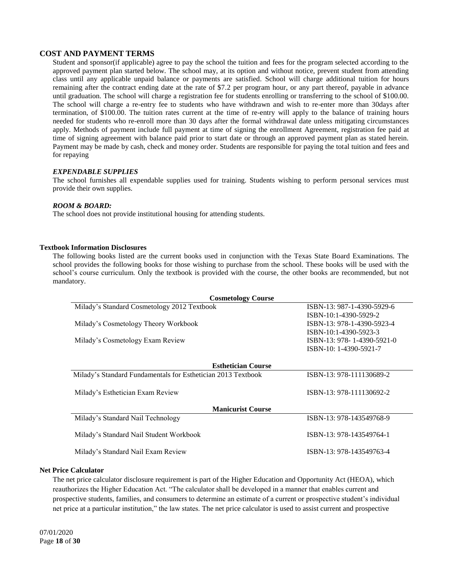# **COST AND PAYMENT TERMS**

Student and sponsor(if applicable) agree to pay the school the tuition and fees for the program selected according to the approved payment plan started below. The school may, at its option and without notice, prevent student from attending class until any applicable unpaid balance or payments are satisfied. School will charge additional tuition for hours remaining after the contract ending date at the rate of \$7.2 per program hour, or any part thereof, payable in advance until graduation. The school will charge a registration fee for students enrolling or transferring to the school of \$100.00. The school will charge a re-entry fee to students who have withdrawn and wish to re-enter more than 30days after termination, of \$100.00. The tuition rates current at the time of re-entry will apply to the balance of training hours needed for students who re-enroll more than 30 days after the formal withdrawal date unless mitigating circumstances apply. Methods of payment include full payment at time of signing the enrollment Agreement, registration fee paid at time of signing agreement with balance paid prior to start date or through an approved payment plan as stated herein. Payment may be made by cash, check and money order. Students are responsible for paying the total tuition and fees and for repaying

# *EXPENDABLE SUPPLIES*

The school furnishes all expendable supplies used for training. Students wishing to perform personal services must provide their own supplies.

# *ROOM & BOARD:*

The school does not provide institutional housing for attending students.

# **Textbook Information Disclosures**

The following books listed are the current books used in conjunction with the Texas State Board Examinations. The school provides the following books for those wishing to purchase from the school. These books will be used with the school's course curriculum. Only the textbook is provided with the course, the other books are recommended, but not mandatory.

| <b>Cosmetology Course</b>                                    |                            |  |  |  |  |
|--------------------------------------------------------------|----------------------------|--|--|--|--|
| Milady's Standard Cosmetology 2012 Textbook                  | ISBN-13: 987-1-4390-5929-6 |  |  |  |  |
|                                                              | ISBN-10:1-4390-5929-2      |  |  |  |  |
| Milady's Cosmetology Theory Workbook                         | ISBN-13: 978-1-4390-5923-4 |  |  |  |  |
|                                                              | ISBN-10:1-4390-5923-3      |  |  |  |  |
| Milady's Cosmetology Exam Review                             | ISBN-13: 978-1-4390-5921-0 |  |  |  |  |
|                                                              | ISBN-10: 1-4390-5921-7     |  |  |  |  |
|                                                              |                            |  |  |  |  |
| <b>Esthetician Course</b>                                    |                            |  |  |  |  |
| Milady's Standard Fundamentals for Esthetician 2013 Textbook | ISBN-13: 978-111130689-2   |  |  |  |  |
|                                                              |                            |  |  |  |  |
| Milady's Esthetician Exam Review                             | ISBN-13: 978-111130692-2   |  |  |  |  |
|                                                              |                            |  |  |  |  |
| <b>Manicurist Course</b>                                     |                            |  |  |  |  |
| Milady's Standard Nail Technology                            | ISBN-13: 978-143549768-9   |  |  |  |  |
|                                                              |                            |  |  |  |  |
| Milady's Standard Nail Student Workbook                      | ISBN-13: 978-143549764-1   |  |  |  |  |
|                                                              |                            |  |  |  |  |
| Milady's Standard Nail Exam Review                           | ISBN-13: 978-143549763-4   |  |  |  |  |
|                                                              |                            |  |  |  |  |

# **Net Price Calculator**

The net price calculator disclosure requirement is part of the Higher Education and Opportunity Act (HEOA), which reauthorizes the Higher Education Act. "The calculator shall be developed in a manner that enables current and prospective students, families, and consumers to determine an estimate of a current or prospective student's individual net price at a particular institution," the law states. The net price calculator is used to assist current and prospective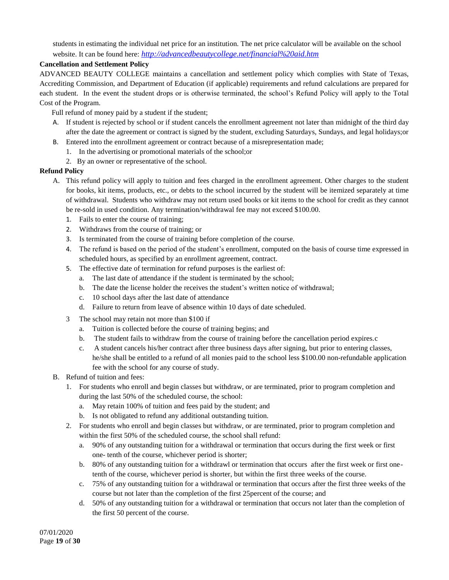students in estimating the individual net price for an institution. The net price calculator will be available on the school website. It can be found here: *<http://advancedbeautycollege.net/financial%20aid.htm>*

# **Cancellation and Settlement Policy**

ADVANCED BEAUTY COLLEGE maintains a cancellation and settlement policy which complies with State of Texas, Accrediting Commission, and Department of Education (if applicable) requirements and refund calculations are prepared for each student. In the event the student drops or is otherwise terminated, the school's Refund Policy will apply to the Total Cost of the Program.

Full refund of money paid by a student if the student;

- A. If student is rejected by school or if student cancels the enrollment agreement not later than midnight of the third day after the date the agreement or contract is signed by the student, excluding Saturdays, Sundays, and legal holidays;or
- B. Entered into the enrollment agreement or contract because of a misrepresentation made;
	- 1. In the advertising or promotional materials of the school;or
	- 2. By an owner or representative of the school.

# **Refund Policy**

- A. This refund policy will apply to tuition and fees charged in the enrollment agreement. Other charges to the student for books, kit items, products, etc., or debts to the school incurred by the student will be itemized separately at time of withdrawal. Students who withdraw may not return used books or kit items to the school for credit as they cannot be re-sold in used condition. Any termination/withdrawal fee may not exceed \$100.00.
	- 1. Fails to enter the course of training;
	- 2. Withdraws from the course of training; or
	- 3. Is terminated from the course of training before completion of the course.
	- 4. The refund is based on the period of the student's enrollment, computed on the basis of course time expressed in scheduled hours, as specified by an enrollment agreement, contract.
	- 5. The effective date of termination for refund purposes is the earliest of:
		- a. The last date of attendance if the student is terminated by the school;
		- b. The date the license holder the receives the student's written notice of withdrawal;
		- c. 10 school days after the last date of attendance
		- d. Failure to return from leave of absence within 10 days of date scheduled.
	- 3 The school may retain not more than \$100 if
		- a. Tuition is collected before the course of training begins; and
		- b. The student fails to withdraw from the course of training before the cancellation period expires.c
		- c. A student cancels his/her contract after three business days after signing, but prior to entering classes, he/she shall be entitled to a refund of all monies paid to the school less \$100.00 non-refundable application fee with the school for any course of study.
- B. Refund of tuition and fees:
	- 1. For students who enroll and begin classes but withdraw, or are terminated, prior to program completion and during the last 50% of the scheduled course, the school:
		- a. May retain 100% of tuition and fees paid by the student; and
		- b. Is not obligated to refund any additional outstanding tuition.
	- 2. For students who enroll and begin classes but withdraw, or are terminated, prior to program completion and within the first 50% of the scheduled course, the school shall refund:
		- a. 90% of any outstanding tuition for a withdrawal or termination that occurs during the first week or first one- tenth of the course, whichever period is shorter;
		- b. 80% of any outstanding tuition for a withdrawl or termination that occurs after the first week or first onetenth of the course, whichever period is shorter, but within the first three weeks of the course.
		- c. 75% of any outstanding tuition for a withdrawal or termination that occurs after the first three weeks of the course but not later than the completion of the first 25percent of the course; and
		- d. 50% of any outstanding tuition for a withdrawal or termination that occurs not later than the completion of the first 50 percent of the course.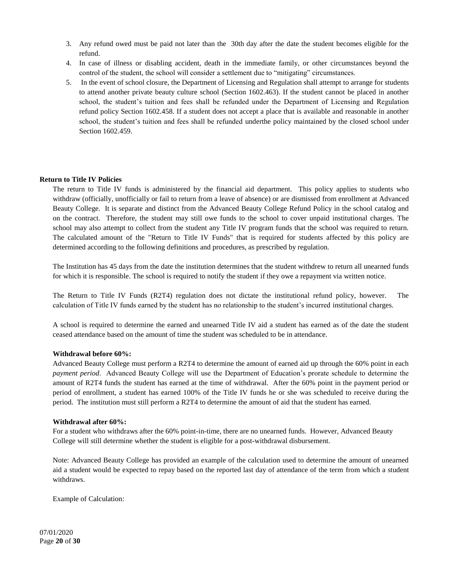- 3. Any refund owed must be paid not later than the 30th day after the date the student becomes eligible for the refund.
- 4. In case of illness or disabling accident, death in the immediate family, or other circumstances beyond the control of the student, the school will consider a settlement due to "mitigating" circumstances.
- 5. In the event of school closure, the Department of Licensing and Regulation shall attempt to arrange for students to attend another private beauty culture school (Section 1602.463). If the student cannot be placed in another school, the student's tuition and fees shall be refunded under the Department of Licensing and Regulation refund policy Section 1602.458. If a student does not accept a place that is available and reasonable in another school, the student's tuition and fees shall be refunded underthe policy maintained by the closed school under Section 1602.459.

# **Return to Title IV Policies**

The return to Title IV funds is administered by the financial aid department. This policy applies to students who withdraw (officially, unofficially or fail to return from a leave of absence) or are dismissed from enrollment at Advanced Beauty College. It is separate and distinct from the Advanced Beauty College Refund Policy in the school catalog and on the contract. Therefore, the student may still owe funds to the school to cover unpaid institutional charges. The school may also attempt to collect from the student any Title IV program funds that the school was required to return. The calculated amount of the "Return to Title IV Funds" that is required for students affected by this policy are determined according to the following definitions and procedures, as prescribed by regulation.

The Institution has 45 days from the date the institution determines that the student withdrew to return all unearned funds for which it is responsible. The school is required to notify the student if they owe a repayment via written notice.

The Return to Title IV Funds (R2T4) regulation does not dictate the institutional refund policy, however. The calculation of Title IV funds earned by the student has no relationship to the student's incurred institutional charges.

A school is required to determine the earned and unearned Title IV aid a student has earned as of the date the student ceased attendance based on the amount of time the student was scheduled to be in attendance.

# **Withdrawal before 60%:**

Advanced Beauty College must perform a R2T4 to determine the amount of earned aid up through the 60% point in each *payment period*. Advanced Beauty College will use the Department of Education's prorate schedule to determine the amount of R2T4 funds the student has earned at the time of withdrawal. After the 60% point in the payment period or period of enrollment, a student has earned 100% of the Title IV funds he or she was scheduled to receive during the period. The institution must still perform a R2T4 to determine the amount of aid that the student has earned.

# **Withdrawal after 60%:**

For a student who withdraws after the 60% point-in-time, there are no unearned funds. However, Advanced Beauty College will still determine whether the student is eligible for a post-withdrawal disbursement.

Note: Advanced Beauty College has provided an example of the calculation used to determine the amount of unearned aid a student would be expected to repay based on the reported last day of attendance of the term from which a student withdraws.

Example of Calculation: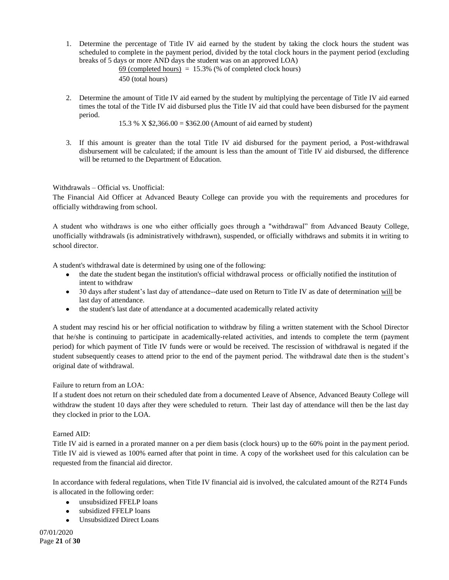1. Determine the percentage of Title IV aid earned by the student by taking the clock hours the student was scheduled to complete in the payment period, divided by the total clock hours in the payment period (excluding breaks of 5 days or more AND days the student was on an approved LOA)

 $69$  (completed hours) = 15.3% (% of completed clock hours) 450 (total hours)

2. Determine the amount of Title IV aid earned by the student by multiplying the percentage of Title IV aid earned times the total of the Title IV aid disbursed plus the Title IV aid that could have been disbursed for the payment period.

```
15.3 % X $2,366.00 = $362.00 (Amount of aid earned by student)
```
3. If this amount is greater than the total Title IV aid disbursed for the payment period, a Post-withdrawal disbursement will be calculated; if the amount is less than the amount of Title IV aid disbursed, the difference will be returned to the Department of Education.

# Withdrawals – Official vs. Unofficial:

The Financial Aid Officer at Advanced Beauty College can provide you with the requirements and procedures for officially withdrawing from school.

A student who withdraws is one who either officially goes through a "withdrawal" from Advanced Beauty College, unofficially withdrawals (is administratively withdrawn), suspended, or officially withdraws and submits it in writing to school director.

A student's withdrawal date is determined by using one of the following:

- the date the student began the institution's official withdrawal process or officially notified the institution of intent to withdraw
- 30 days after student's last day of attendance--date used on Return to Title IV as date of determination will be last day of attendance.
- the student's last date of attendance at a documented academically related activity

A student may rescind his or her official notification to withdraw by filing a written statement with the School Director that he/she is continuing to participate in academically-related activities, and intends to complete the term (payment period) for which payment of Title IV funds were or would be received. The rescission of withdrawal is negated if the student subsequently ceases to attend prior to the end of the payment period. The withdrawal date then is the student's original date of withdrawal.

Failure to return from an LOA:

If a student does not return on their scheduled date from a documented Leave of Absence, Advanced Beauty College will withdraw the student 10 days after they were scheduled to return. Their last day of attendance will then be the last day they clocked in prior to the LOA.

# Earned AID:

Title IV aid is earned in a prorated manner on a per diem basis (clock hours) up to the 60% point in the payment period. Title IV aid is viewed as 100% earned after that point in time. A copy of the worksheet used for this calculation can be requested from the financial aid director.

In accordance with federal regulations, when Title IV financial aid is involved, the calculated amount of the R2T4 Funds is allocated in the following order:

- unsubsidized FFELP loans
- subsidized FFELP loans
- $\bullet$ Unsubsidized Direct Loans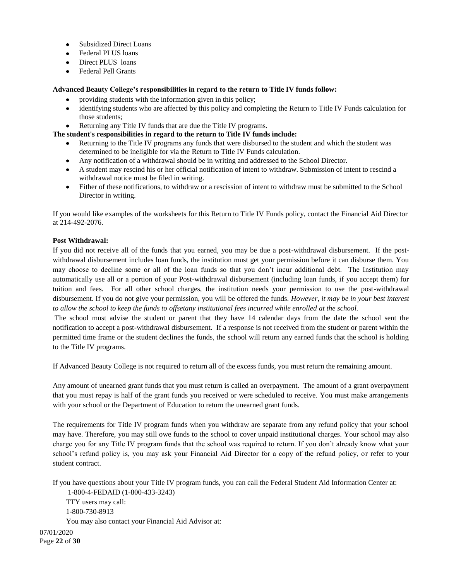- Subsidized Direct Loans  $\bullet$
- Federal PLUS loans
- Direct PLUS loans
- Federal Pell Grants

# **Advanced Beauty College's responsibilities in regard to the return to Title IV funds follow:**

- providing students with the information given in this policy;
- identifying students who are affected by this policy and completing the Return to Title IV Funds calculation for  $\bullet$ those students;
- Returning any Title IV funds that are due the Title IV programs.

# **The student's responsibilities in regard to the return to Title IV funds include:**

- Returning to the Title IV programs any funds that were disbursed to the student and which the student was determined to be ineligible for via the Return to Title IV Funds calculation.
- Any notification of a withdrawal should be in writing and addressed to the School Director.
- A student may rescind his or her official notification of intent to withdraw. Submission of intent to rescind a withdrawal notice must be filed in writing.
- Either of these notifications, to withdraw or a rescission of intent to withdraw must be submitted to the School Director in writing.

If you would like examples of the worksheets for this Return to Title IV Funds policy, contact the Financial Aid Director at 214-492-2076.

# **Post Withdrawal:**

If you did not receive all of the funds that you earned, you may be due a post-withdrawal disbursement. If the postwithdrawal disbursement includes loan funds, the institution must get your permission before it can disburse them. You may choose to decline some or all of the loan funds so that you don't incur additional debt. The Institution may automatically use all or a portion of your Post-withdrawal disbursement (including loan funds, if you accept them) for tuition and fees. For all other school charges, the institution needs your permission to use the post-withdrawal disbursement. If you do not give your permission, you will be offered the funds. *However, it may be in your best interest to allow the school to keep the funds to offsetany institutional fees incurred while enrolled at the school.*

The school must advise the student or parent that they have 14 calendar days from the date the school sent the notification to accept a post-withdrawal disbursement. If a response is not received from the student or parent within the permitted time frame or the student declines the funds, the school will return any earned funds that the school is holding to the Title IV programs.

If Advanced Beauty College is not required to return all of the excess funds, you must return the remaining amount.

Any amount of unearned grant funds that you must return is called an overpayment. The amount of a grant overpayment that you must repay is half of the grant funds you received or were scheduled to receive. You must make arrangements with your school or the Department of Education to return the unearned grant funds.

The requirements for Title IV program funds when you withdraw are separate from any refund policy that your school may have. Therefore, you may still owe funds to the school to cover unpaid institutional charges. Your school may also charge you for any Title IV program funds that the school was required to return. If you don't already know what your school's refund policy is, you may ask your Financial Aid Director for a copy of the refund policy, or refer to your student contract.

If you have questions about your Title IV program funds, you can call the Federal Student Aid Information Center at:

1-800-4-FEDAID (1-800-433-3243) TTY users may call: 1-800-730-8913 You may also contact your Financial Aid Advisor at: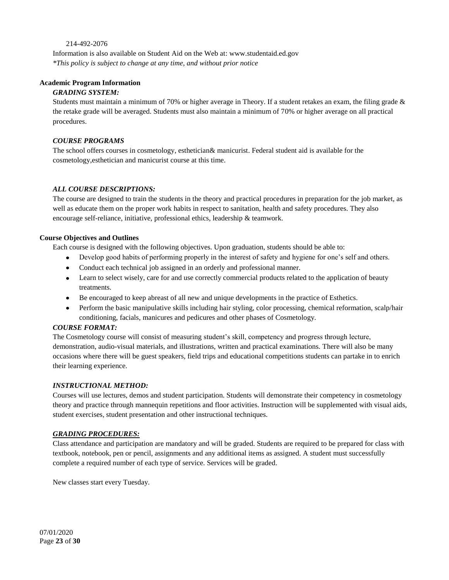# 214-492-2076

Information is also available on Student Aid on the Web at: www.studentaid.ed.gov *\*This policy is subject to change at any time, and without prior notice*

# **Academic Program Information**

# *GRADING SYSTEM:*

Students must maintain a minimum of 70% or higher average in Theory. If a student retakes an exam, the filing grade & the retake grade will be averaged. Students must also maintain a minimum of 70% or higher average on all practical procedures.

# *COURSE PROGRAMS*

The school offers courses in cosmetology, esthetician& manicurist. Federal student aid is available for the cosmetology,esthetician and manicurist course at this time.

# *ALL COURSE DESCRIPTIONS:*

The course are designed to train the students in the theory and practical procedures in preparation for the job market, as well as educate them on the proper work habits in respect to sanitation, health and safety procedures. They also encourage self-reliance, initiative, professional ethics, leadership & teamwork.

# **Course Objectives and Outlines**

Each course is designed with the following objectives. Upon graduation, students should be able to:

- Develop good habits of performing properly in the interest of safety and hygiene for one's self and others.
- Conduct each technical job assigned in an orderly and professional manner.
- Learn to select wisely, care for and use correctly commercial products related to the application of beauty treatments.
- Be encouraged to keep abreast of all new and unique developments in the practice of Esthetics.
- Perform the basic manipulative skills including hair styling, color processing, chemical reformation, scalp/hair conditioning, facials, manicures and pedicures and other phases of Cosmetology.

# *COURSE FORMAT:*

The Cosmetology course will consist of measuring student's skill, competency and progress through lecture, demonstration, audio-visual materials, and illustrations, written and practical examinations. There will also be many occasions where there will be guest speakers, field trips and educational competitions students can partake in to enrich their learning experience.

# *INSTRUCTIONAL METHOD:*

Courses will use lectures, demos and student participation. Students will demonstrate their competency in cosmetology theory and practice through mannequin repetitions and floor activities. Instruction will be supplemented with visual aids, student exercises, student presentation and other instructional techniques.

# *GRADING PROCEDURES:*

Class attendance and participation are mandatory and will be graded. Students are required to be prepared for class with textbook, notebook, pen or pencil, assignments and any additional items as assigned. A student must successfully complete a required number of each type of service. Services will be graded.

New classes start every Tuesday.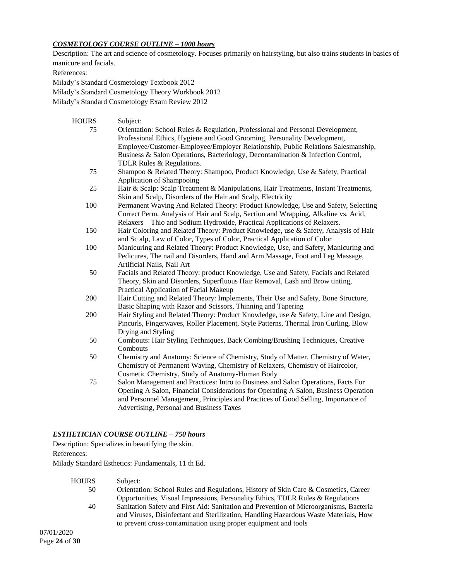# *COSMETOLOGY COURSE OUTLINE – 1000 hours*

Description: The art and science of cosmetology. Focuses primarily on hairstyling, but also trains students in basics of manicure and facials.

References:

Milady's Standard Cosmetology Textbook 2012

Milady's Standard Cosmetology Theory Workbook 2012

Milady's Standard Cosmetology Exam Review 2012

| HOURS | Subject:                                                                            |
|-------|-------------------------------------------------------------------------------------|
| 75    | Orientation: School Rules & Regulation, Professional and Personal Development,      |
|       | Professional Ethics, Hygiene and Good Grooming, Personality Development,            |
|       | Employee/Customer-Employee/Employer Relationship, Public Relations Salesmanship,    |
|       | Business & Salon Operations, Bacteriology, Decontamination & Infection Control,     |
|       | TDLR Rules & Regulations.                                                           |
| 75    | Shampoo & Related Theory: Shampoo, Product Knowledge, Use & Safety, Practical       |
|       | Application of Shampooing                                                           |
| 25    | Hair & Scalp: Scalp Treatment & Manipulations, Hair Treatments, Instant Treatments, |
|       | Skin and Scalp, Disorders of the Hair and Scalp, Electricity                        |
| 100   | Permanent Waving And Related Theory: Product Knowledge, Use and Safety, Selecting   |
|       | Correct Perm, Analysis of Hair and Scalp, Section and Wrapping, Alkaline vs. Acid,  |
|       | Relaxers - Thio and Sodium Hydroxide, Practical Applications of Relaxers.           |
| 150   | Hair Coloring and Related Theory: Product Knowledge, use & Safety, Analysis of Hair |
|       | and Sc alp, Law of Color, Types of Color, Practical Application of Color            |
| 100   | Manicuring and Related Theory: Product Knowledge, Use, and Safety, Manicuring and   |
|       | Pedicures, The nail and Disorders, Hand and Arm Massage, Foot and Leg Massage,      |
|       | Artificial Nails, Nail Art                                                          |
| 50    | Facials and Related Theory: product Knowledge, Use and Safety, Facials and Related  |
|       | Theory, Skin and Disorders, Superfluous Hair Removal, Lash and Brow tinting,        |
|       | Practical Application of Facial Makeup                                              |
| 200   | Hair Cutting and Related Theory: Implements, Their Use and Safety, Bone Structure,  |
|       | Basic Shaping with Razor and Scissors, Thinning and Tapering                        |
| 200   | Hair Styling and Related Theory: Product Knowledge, use & Safety, Line and Design,  |
|       | Pincurls, Fingerwaves, Roller Placement, Style Patterns, Thermal Iron Curling, Blow |
|       | Drying and Styling                                                                  |
| 50    | Combouts: Hair Styling Techniques, Back Combing/Brushing Techniques, Creative       |
|       | Combouts                                                                            |
| 50    | Chemistry and Anatomy: Science of Chemistry, Study of Matter, Chemistry of Water,   |
|       | Chemistry of Permanent Waving, Chemistry of Relaxers, Chemistry of Haircolor,       |
|       | Cosmetic Chemistry, Study of Anatomy-Human Body                                     |
| 75    | Salon Management and Practices: Intro to Business and Salon Operations, Facts For   |
|       | Opening A Salon, Financial Considerations for Operating A Salon, Business Operation |
|       | and Personnel Management, Principles and Practices of Good Selling, Importance of   |
|       | Advertising, Personal and Business Taxes                                            |

### *ESTHETICIAN COURSE OUTLINE – 750 hours*

Description: Specializes in beautifying the skin. References:

Milady Standard Esthetics: Fundamentals, 11 th Ed.

HOURS Subject: 50 Orientation: School Rules and Regulations, History of Skin Care & Cosmetics, Career Opportunities, Visual Impressions, Personality Ethics, TDLR Rules & Regulations 40 Sanitation Safety and First Aid: Sanitation and Prevention of Microorganisms, Bacteria and Viruses, Disinfectant and Sterilization, Handling Hazardous Waste Materials, How to prevent cross-contamination using proper equipment and tools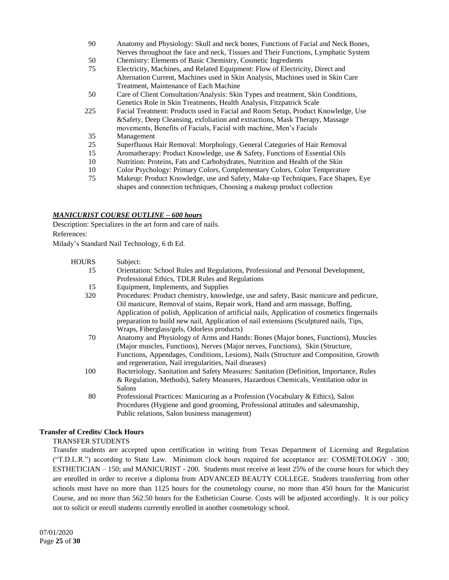- 90 Anatomy and Physiology: Skull and neck bones, Functions of Facial and Neck Bones, Nerves throughout the face and neck, Tissues and Their Functions, Lymphatic System
- 50 Chemistry: Elements of Basic Chemistry, Cosmetic Ingredients
- 75 Electricity, Machines, and Related Equipment: Flow of Electricity, Direct and Alternation Current, Machines used in Skin Analysis, Machines used in Skin Care Treatment, Maintenance of Each Machine
- 50 Care of Client Consultation/Analysis: Skin Types and treatment, Skin Conditions, Genetics Role in Skin Treatments, Health Analysis, Fitzpatrick Scale
- 225 Facial Treatment: Products used in Facial and Room Setup, Product Knowledge, Use &Safety, Deep Cleansing, exfoliation and extractions, Mask Therapy, Massage movements, Benefits of Facials, Facial with machine, Men's Facials
- 35 Management
- 25 Superfluous Hair Removal: Morphology, General Categories of Hair Removal
- 15 Aromatherapy: Product Knowledge, use & Safety, Functions of Essential Oils
- 10 Nutrition: Proteins, Fats and Carbohydrates, Nutrition and Health of the Skin
- 10 Color Psychology: Primary Colors, Complementary Colors, Color Temperature
- 75 Makeup: Product Knowledge, use and Safety, Make-up Techniques, Face Shapes, Eye shapes and connection techniques, Choosing a makeup product collection

# *MANICURIST COURSE OUTLINE – 600 hours*

Description: Specializes in the art form and care of nails. References:

Milady's Standard Nail Technology, 6 th Ed.

| <b>HOURS</b> | Subject:                                                                                     |
|--------------|----------------------------------------------------------------------------------------------|
| 15           | Orientation: School Rules and Regulations, Professional and Personal Development,            |
|              | Professional Ethics, TDLR Rules and Regulations                                              |
| 15           | Equipment, Implements, and Supplies                                                          |
| 320          | Procedures: Product chemistry, knowledge, use and safety, Basic manicure and pedicure,       |
|              | Oil manicure, Removal of stains, Repair work, Hand and arm massage, Buffing,                 |
|              | Application of polish, Application of artificial nails, Application of cosmetics fingernails |
|              | preparation to build new nail, Application of nail extensions (Sculptured nails, Tips,       |
|              | Wraps, Fiberglass/gels, Odorless products)                                                   |
| 70           | Anatomy and Physiology of Arms and Hands: Bones (Major bones, Functions), Muscles            |
|              | (Major muscles, Functions), Nerves (Major nerves, Functions), Skin (Structure,               |
|              | Functions, Appendages, Conditions, Lesions), Nails (Structure and Composition, Growth        |
|              | and regeneration, Nail irregularities, Nail diseases)                                        |
| 100          | Bacteriology, Sanitation and Safety Measures: Sanitation (Definition, Importance, Rules      |
|              | & Regulation, Methods), Safety Measures, Hazardous Chemicals, Ventilation odor in            |
|              | Salons                                                                                       |
| 80           | Professional Practices: Manicuring as a Profession (Vocabulary & Ethics), Salon              |
|              | Procedures (Hygiene and good grooming, Professional attitudes and salesmanship,              |
|              | Public relations, Salon business management)                                                 |

# **Transfer of Credits/ Clock Hours**

# TRANSFER STUDENTS

Transfer students are accepted upon certification in writing from Texas Department of Licensing and Regulation (―T.D.L.R.‖) according to State Law. Minimum clock hours required for acceptance are: COSMETOLOGY - 300; ESTHETICIAN – 150; and MANICURIST - 200. Students must receive at least 25% of the course hours for which they are enrolled in order to receive a diploma from ADVANCED BEAUTY COLLEGE. Students transferring from other schools must have no more than 1125 hours for the cosmetology course, no more than 450 hours for the Manicurist Course, and no more than 562.50 hours for the Esthetician Course. Costs will be adjusted accordingly. It is our policy not to solicit or enroll students currently enrolled in another cosmetology school.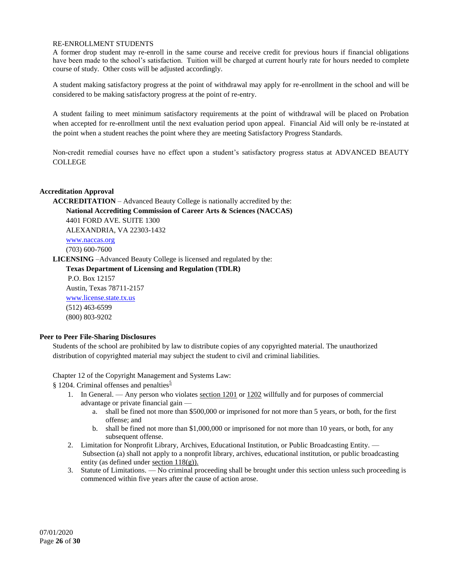### RE-ENROLLMENT STUDENTS

A former drop student may re-enroll in the same course and receive credit for previous hours if financial obligations have been made to the school's satisfaction. Tuition will be charged at current hourly rate for hours needed to complete course of study. Other costs will be adjusted accordingly.

A student making satisfactory progress at the point of withdrawal may apply for re-enrollment in the school and will be considered to be making satisfactory progress at the point of re-entry.

A student failing to meet minimum satisfactory requirements at the point of withdrawal will be placed on Probation when accepted for re-enrollment until the next evaluation period upon appeal. Financial Aid will only be re-instated at the point when a student reaches the point where they are meeting Satisfactory Progress Standards.

Non-credit remedial courses have no effect upon a student's satisfactory progress status at ADVANCED BEAUTY COLLEGE

# **Accreditation Approval**

**ACCREDITATION** – Advanced Beauty College is nationally accredited by the: **National Accrediting Commission of Career Arts & Sciences (NACCAS)** 4401 FORD AVE. SUITE 1300

ALEXANDRIA, VA 22303-1432

[www.naccas.org](http://www.naccas.org/) (703) 600-7600

**LICENSING** –Advanced Beauty College is licensed and regulated by the:

**Texas Department of Licensing and Regulation (TDLR)**

P.O. Box 12157 Austin, Texas 78711-2157 [www.license.state.tx.us](http://www.license.state.tx.us/) (512) 463-6599 (800) 803-9202

# **Peer to Peer File-Sharing Disclosures**

Students of the school are prohibited by law to distribute copies of any copyrighted material. The unauthorized distribution of copyrighted material may subject the student to civil and criminal liabilities.

Chapter 12 of the Copyright Management and Systems Law:

§ 1204. Criminal offenses and penalties<sup>[5](http://www.copyright.gov/title17/92chap12.html#12-5)</sup>

- 1. In General. Any person who violates [section 1201](http://www.copyright.gov/title17/92chap12.html#1201) o[r 1202](http://www.copyright.gov/title17/92chap12.html#1202) willfully and for purposes of commercial advantage or private financial gain
	- a. shall be fined not more than \$500,000 or imprisoned for not more than 5 years, or both, for the first offense; and
	- b. shall be fined not more than \$1,000,000 or imprisoned for not more than 10 years, or both, for any subsequent offense.
- 2. Limitation for Nonprofit Library, Archives, Educational Institution, or Public Broadcasting Entity. Subsection (a) shall not apply to a nonprofit library, archives, educational institution, or public broadcasting entity (as defined under [section 118\(g\)\).](http://www.copyright.gov/title17/92chap1.html#118)
- 3. Statute of Limitations. No criminal proceeding shall be brought under this section unless such proceeding is commenced within five years after the cause of action arose.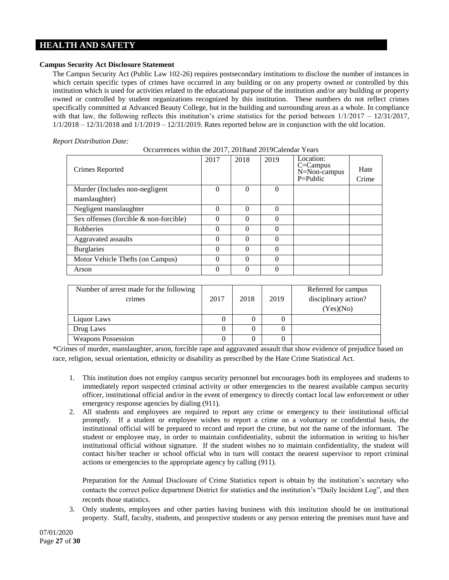# **HEALTH AND SAFETY**

# **Campus Security Act Disclosure Statement**

The Campus Security Act (Public Law 102-26) requires postsecondary institutions to disclose the number of instances in which certain specific types of crimes have occurred in any building or on any property owned or controlled by this institution which is used for activities related to the educational purpose of the institution and/or any building or property owned or controlled by student organizations recognized by this institution. These numbers do not reflect crimes specifically committed at Advanced Beauty College, but in the building and surrounding areas as a whole. In compliance with that law, the following reflects this institution's crime statistics for the period between  $1/1/2017 - 12/31/2017$ ,  $1/1/2018 - 12/31/2018$  and  $1/1/2019 - 12/31/2019$ . Rates reported below are in conjunction with the old location.

|  | <b>Report Distribution Date:</b> |  |
|--|----------------------------------|--|
|--|----------------------------------|--|

| Crimes Reported                        | 2017     | 2018     | 2019     | Location:<br>$C =$ Campus<br>N=Non-campus<br>$P = Public$ | Hate<br>Crime |
|----------------------------------------|----------|----------|----------|-----------------------------------------------------------|---------------|
| Murder (Includes non-negligent         | 0        | $\theta$ | $\theta$ |                                                           |               |
| manslaughter)                          |          |          |          |                                                           |               |
| Negligent manslaughter                 | $\Omega$ | $\theta$ | 0        |                                                           |               |
| Sex offenses (forcible & non-forcible) |          | 0        | 0        |                                                           |               |
| <b>Robberies</b>                       | 0        | 0        | 0        |                                                           |               |
| Aggravated assaults                    | $\Omega$ | $\Omega$ | $\Omega$ |                                                           |               |
| <b>Burglaries</b>                      | $\Omega$ | $\Omega$ | $\Omega$ |                                                           |               |
| Motor Vehicle Thefts (on Campus)       | 0        | $\theta$ | $\Omega$ |                                                           |               |
| Arson                                  |          | 0        |          |                                                           |               |

Occurrences within the 2017, 2018and 2019Calendar Years

| Number of arrest made for the following<br>crimes | 2017 | 2018 | 2019 | Referred for campus<br>disciplinary action?<br>(Yes)(No) |
|---------------------------------------------------|------|------|------|----------------------------------------------------------|
| Liquor Laws                                       |      |      |      |                                                          |
| Drug Laws                                         |      |      |      |                                                          |
| <b>Weapons Possession</b>                         |      | 0    |      |                                                          |

\*Crimes of murder, manslaughter, arson, forcible rape and aggravated assault that show evidence of prejudice based on race, religion, sexual orientation, ethnicity or disability as prescribed by the Hate Crime Statistical Act.

- 1. This institution does not employ campus security personnel but encourages both its employees and students to immediately report suspected criminal activity or other emergencies to the nearest available campus security officer, institutional official and/or in the event of emergency to directly contact local law enforcement or other emergency response agencies by dialing (911).
- 2. All students and employees are required to report any crime or emergency to their institutional official promptly. If a student or employee wishes to report a crime on a voluntary or confidential basis, the institutional official will be prepared to record and report the crime, but not the name of the informant. The student or employee may, in order to maintain confidentiality, submit the information in writing to his/her institutional official without signature. If the student wishes no to maintain confidentiality, the student will contact his/her teacher or school official who in turn will contact the nearest supervisor to report criminal actions or emergencies to the appropriate agency by calling (911).

Preparation for the Annual Disclosure of Crime Statistics report is obtain by the institution's secretary who contacts the correct police department District for statistics and the institution's "Daily Incident Log", and then records those statistics.

3. Only students, employees and other parties having business with this institution should be on institutional property. Staff, faculty, students, and prospective students or any person entering the premises must have and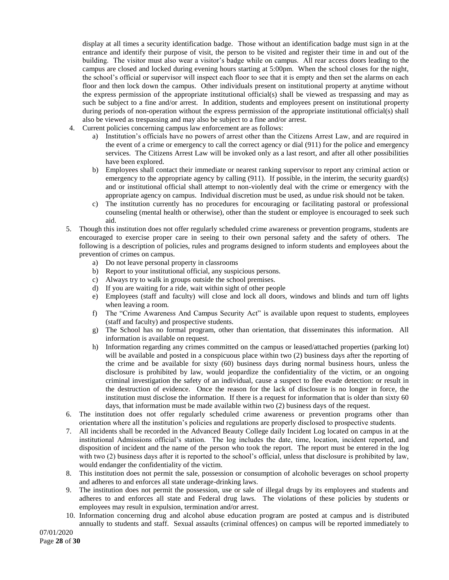display at all times a security identification badge. Those without an identification badge must sign in at the entrance and identify their purpose of visit, the person to be visited and register their time in and out of the building. The visitor must also wear a visitor's badge while on campus. All rear access doors leading to the campus are closed and locked during evening hours starting at 5:00pm. When the school closes for the night, the school's official or supervisor will inspect each floor to see that it is empty and then set the alarms on each floor and then lock down the campus. Other individuals present on institutional property at anytime without the express permission of the appropriate institutional official(s) shall be viewed as trespassing and may as such be subject to a fine and/or arrest. In addition, students and employees present on institutional property during periods of non-operation without the express permission of the appropriate institutional official(s) shall also be viewed as trespassing and may also be subject to a fine and/or arrest.

- 4. Current policies concerning campus law enforcement are as follows:
	- a) Institution's officials have no powers of arrest other than the Citizens Arrest Law, and are required in the event of a crime or emergency to call the correct agency or dial (911) for the police and emergency services. The Citizens Arrest Law will be invoked only as a last resort, and after all other possibilities have been explored.
	- b) Employees shall contact their immediate or nearest ranking supervisor to report any criminal action or emergency to the appropriate agency by calling (911). If possible, in the interim, the security guard(s) and or institutional official shall attempt to non-violently deal with the crime or emergency with the appropriate agency on campus. Individual discretion must be used, as undue risk should not be taken.
	- c) The institution currently has no procedures for encouraging or facilitating pastoral or professional counseling (mental health or otherwise), other than the student or employee is encouraged to seek such aid.
- 5. Though this institution does not offer regularly scheduled crime awareness or prevention programs, students are encouraged to exercise proper care in seeing to their own personal safety and the safety of others. The following is a description of policies, rules and programs designed to inform students and employees about the prevention of crimes on campus.
	- a) Do not leave personal property in classrooms
	- b) Report to your institutional official, any suspicious persons.
	- c) Always try to walk in groups outside the school premises.
	- d) If you are waiting for a ride, wait within sight of other people
	- e) Employees (staff and faculty) will close and lock all doors, windows and blinds and turn off lights when leaving a room.
	- f) The "Crime Awareness And Campus Security Act" is available upon request to students, employees (staff and faculty) and prospective students.
	- g) The School has no formal program, other than orientation, that disseminates this information. All information is available on request.
	- h) Information regarding any crimes committed on the campus or leased/attached properties (parking lot) will be available and posted in a conspicuous place within two (2) business days after the reporting of the crime and be available for sixty (60) business days during normal business hours, unless the disclosure is prohibited by law, would jeopardize the confidentiality of the victim, or an ongoing criminal investigation the safety of an individual, cause a suspect to flee evade detection: or result in the destruction of evidence. Once the reason for the lack of disclosure is no longer in force, the institution must disclose the information. If there is a request for information that is older than sixty 60 days, that information must be made available within two (2) business days of the request.
- 6. The institution does not offer regularly scheduled crime awareness or prevention programs other than orientation where all the institution's policies and regulations are properly disclosed to prospective students.
- 7. All incidents shall be recorded in the Advanced Beauty College daily Incident Log located on campus in at the institutional Admissions official's station. The log includes the date, time, location, incident reported, and disposition of incident and the name of the person who took the report. The report must be entered in the log with two (2) business days after it is reported to the school's official, unless that disclosure is prohibited by law, would endanger the confidentiality of the victim.
- 8. This institution does not permit the sale, possession or consumption of alcoholic beverages on school property and adheres to and enforces all state underage-drinking laws.
- 9. The institution does not permit the possession, use or sale of illegal drugs by its employees and students and adheres to and enforces all state and Federal drug laws. The violations of these policies by students or employees may result in expulsion, termination and/or arrest.
- 10. Information concerning drug and alcohol abuse education program are posted at campus and is distributed annually to students and staff. Sexual assaults (criminal offences) on campus will be reported immediately to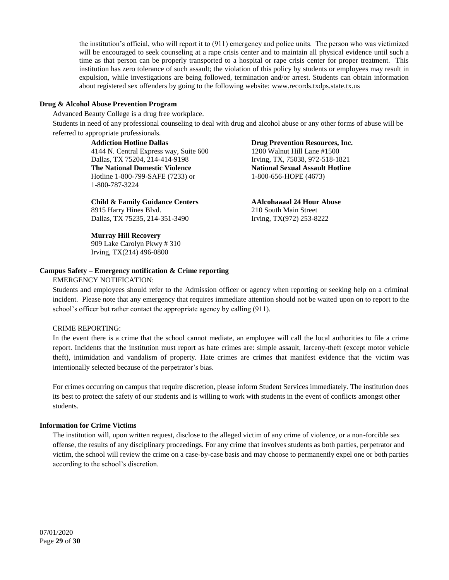the institution's official, who will report it to (911) emergency and police units. The person who was victimized will be encouraged to seek counseling at a rape crisis center and to maintain all physical evidence until such a time as that person can be properly transported to a hospital or rape crisis center for proper treatment. This institution has zero tolerance of such assault; the violation of this policy by students or employees may result in expulsion, while investigations are being followed, termination and/or arrest. Students can obtain information about registered sex offenders by going to the following website: www.records.txdps.state.tx.us

### **Drug & Alcohol Abuse Prevention Program**

Advanced Beauty College is a drug free workplace.

Students in need of any professional counseling to deal with drug and alcohol abuse or any other forms of abuse will be referred to appropriate professionals.

> **Addiction Hotline Dallas** 4144 N. Central Express way, Suite 600 Dallas, TX 75204, 214-414-9198 **The National Domestic Violence** Hotline 1-800-799-SAFE (7233) or 1-800-787-3224

**Child & Family Guidance Centers** 8915 Harry Hines Blvd. Dallas, TX 75235, 214-351-3490

**Murray Hill Recovery**

909 Lake Carolyn Pkwy # 310 Irving, TX(214) 496-0800

#### **Drug Prevention Resources, Inc.** 1200 Walnut Hill Lane #1500

Irving, TX, 75038, 972-518-1821 **National Sexual Assault Hotline** 1-800-656-HOPE (4673)

**AAlcohaaaal 24 Hour Abuse** 210 South Main Street Irving, TX(972) 253-8222

# **Campus Safety – Emergency notification & Crime reporting**

### EMERGENCY NOTIFICATION:

Students and employees should refer to the Admission officer or agency when reporting or seeking help on a criminal incident. Please note that any emergency that requires immediate attention should not be waited upon on to report to the school's officer but rather contact the appropriate agency by calling (911).

# CRIME REPORTING:

In the event there is a crime that the school cannot mediate, an employee will call the local authorities to file a crime report. Incidents that the institution must report as hate crimes are: simple assault, larceny-theft (except motor vehicle theft), intimidation and vandalism of property. Hate crimes are crimes that manifest evidence that the victim was intentionally selected because of the perpetrator's bias.

For crimes occurring on campus that require discretion, please inform Student Services immediately. The institution does its best to protect the safety of our students and is willing to work with students in the event of conflicts amongst other students.

### **Information for Crime Victims**

The institution will, upon written request, disclose to the alleged victim of any crime of violence, or a non-forcible sex offense, the results of any disciplinary proceedings. For any crime that involves students as both parties, perpetrator and victim, the school will review the crime on a case-by-case basis and may choose to permanently expel one or both parties according to the school's discretion.